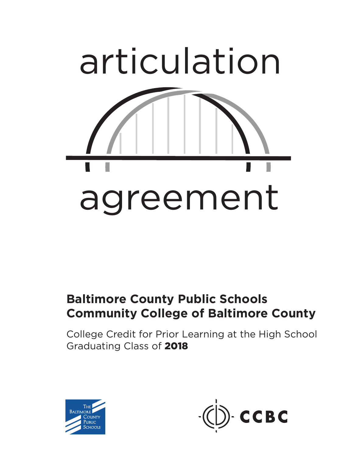

## **Baltimore County Public Schools Community College of Baltimore County**

College Credit for Prior Learning at the High School Graduating Class of 2018



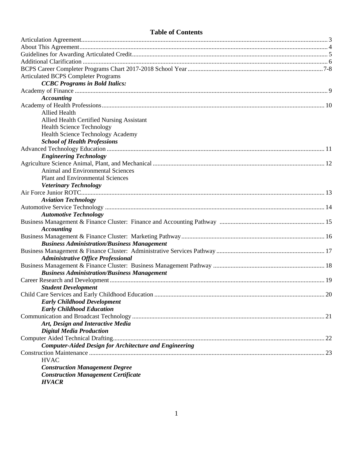## **Table of Contents**

| <b>Articulated BCPS Completer Programs</b>                    |    |
|---------------------------------------------------------------|----|
| <b>CCBC Programs in Bold Italics:</b>                         |    |
|                                                               |    |
| <b>Accounting</b>                                             |    |
|                                                               |    |
| <b>Allied Health</b>                                          |    |
| Allied Health Certified Nursing Assistant                     |    |
| <b>Health Science Technology</b>                              |    |
| Health Science Technology Academy                             |    |
| <b>School of Health Professions</b>                           |    |
|                                                               |    |
| <b>Engineering Technology</b>                                 |    |
|                                                               |    |
| Animal and Environmental Sciences                             |    |
| <b>Plant and Environmental Sciences</b>                       |    |
| <b>Veterinary Technology</b>                                  |    |
|                                                               |    |
| <b>Aviation Technology</b>                                    |    |
|                                                               |    |
| <b>Automotive Technology</b>                                  |    |
|                                                               |    |
| <b>Accounting</b>                                             |    |
|                                                               |    |
| <b>Business Administration/Business Management</b>            |    |
|                                                               |    |
| <b>Administrative Office Professional</b>                     |    |
|                                                               |    |
| <b>Business Administration/Business Management</b>            |    |
|                                                               |    |
| <b>Student Development</b>                                    |    |
|                                                               | 20 |
| <b>Early Childhood Development</b>                            |    |
| <b>Early Childhood Education</b>                              |    |
|                                                               |    |
| Art, Design and Interactive Media                             |    |
| <b>Digital Media Production</b>                               |    |
|                                                               |    |
| <b>Computer-Aided Design for Architecture and Engineering</b> |    |
|                                                               |    |
| <b>HVAC</b>                                                   |    |
| <b>Construction Management Degree</b>                         |    |
| <b>Construction Management Certificate</b>                    |    |
| <b>HVACR</b>                                                  |    |
|                                                               |    |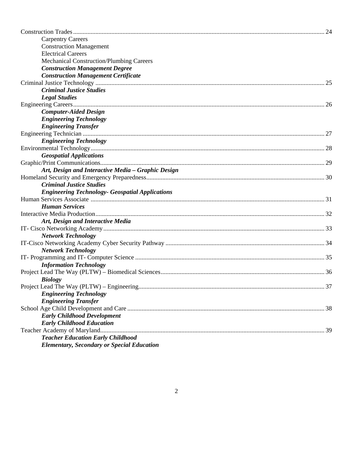| <b>Carpentry Careers</b>                               |    |
|--------------------------------------------------------|----|
| <b>Construction Management</b>                         |    |
| <b>Electrical Careers</b>                              |    |
| <b>Mechanical Construction/Plumbing Careers</b>        |    |
| <b>Construction Management Degree</b>                  |    |
| <b>Construction Management Certificate</b>             |    |
|                                                        |    |
| <b>Criminal Justice Studies</b>                        |    |
| <b>Legal Studies</b>                                   |    |
|                                                        |    |
| <b>Computer-Aided Design</b>                           |    |
| <b>Engineering Technology</b>                          |    |
| <b>Engineering Transfer</b>                            |    |
|                                                        |    |
| <b>Engineering Technology</b>                          |    |
|                                                        |    |
| <b>Geospatial Applications</b>                         |    |
|                                                        |    |
| Art, Design and Interactive Media - Graphic Design     |    |
|                                                        |    |
| <b>Criminal Justice Studies</b>                        |    |
| <b>Engineering Technology- Geospatial Applications</b> |    |
|                                                        |    |
| <b>Human Services</b>                                  |    |
|                                                        |    |
| Art, Design and Interactive Media                      |    |
|                                                        |    |
| <b>Network Technology</b>                              |    |
|                                                        |    |
| <b>Network Technology</b>                              |    |
|                                                        |    |
| <b>Information Technology</b>                          |    |
|                                                        |    |
| <b>Biology</b>                                         |    |
|                                                        | 37 |
| <b>Engineering Technology</b>                          |    |
| <b>Engineering Transfer</b>                            |    |
|                                                        |    |
| <b>Early Childhood Development</b>                     |    |
|                                                        |    |
| <b>Early Childhood Education</b>                       |    |
|                                                        |    |
| <b>Teacher Education Early Childhood</b>               |    |
| <b>Elementary, Secondary or Special Education</b>      |    |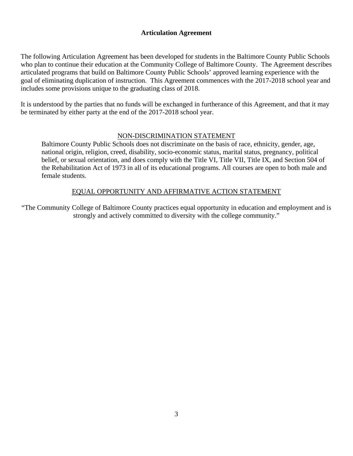#### **Articulation Agreement**

The following Articulation Agreement has been developed for students in the Baltimore County Public Schools who plan to continue their education at the Community College of Baltimore County. The Agreement describes articulated programs that build on Baltimore County Public Schools' approved learning experience with the goal of eliminating duplication of instruction. This Agreement commences with the 2017-2018 school year and includes some provisions unique to the graduating class of 2018.

It is understood by the parties that no funds will be exchanged in furtherance of this Agreement, and that it may be terminated by either party at the end of the 2017-2018 school year.

#### NON-DISCRIMINATION STATEMENT

Baltimore County Public Schools does not discriminate on the basis of race, ethnicity, gender, age, national origin, religion, creed, disability, socio-economic status, marital status, pregnancy, political belief, or sexual orientation, and does comply with the Title VI, Title VII, Title IX, and Section 504 of the Rehabilitation Act of 1973 in all of its educational programs. All courses are open to both male and female students.

## EQUAL OPPORTUNITY AND AFFIRMATIVE ACTION STATEMENT

"The Community College of Baltimore County practices equal opportunity in education and employment and is strongly and actively committed to diversity with the college community."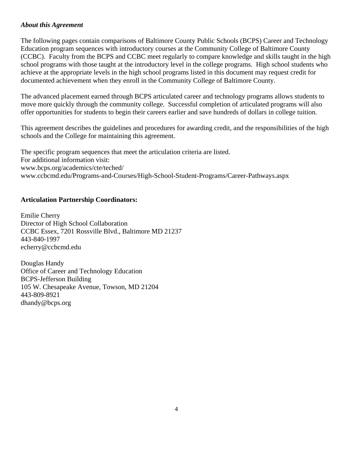#### *About this Agreement*

The following pages contain comparisons of Baltimore County Public Schools (BCPS) Career and Technology Education program sequences with introductory courses at the Community College of Baltimore County (CCBC). Faculty from the BCPS and CCBC meet regularly to compare knowledge and skills taught in the high school programs with those taught at the introductory level in the college programs. High school students who achieve at the appropriate levels in the high school programs listed in this document may request credit for documented achievement when they enroll in the Community College of Baltimore County.

The advanced placement earned through BCPS articulated career and technology programs allows students to move more quickly through the community college. Successful completion of articulated programs will also offer opportunities for students to begin their careers earlier and save hundreds of dollars in college tuition.

This agreement describes the guidelines and procedures for awarding credit, and the responsibilities of the high schools and the College for maintaining this agreement.

The specific program sequences that meet the articulation criteria are listed. For additional information visit: www.bcps.org/academics/cte/teched/ www.ccbcmd.edu/Programs-and-Courses/High-School-Student-Programs/Career-Pathways.aspx

## **Articulation Partnership Coordinators:**

Emilie Cherry Director of High School Collaboration CCBC Essex, 7201 Rossville Blvd., Baltimore MD 21237 443-840-1997 echerry@ccbcmd.edu

Douglas Handy Office of Career and Technology Education BCPS-Jefferson Building 105 W. Chesapeake Avenue, Towson, MD 21204 443-809-8921 dhandy@bcps.org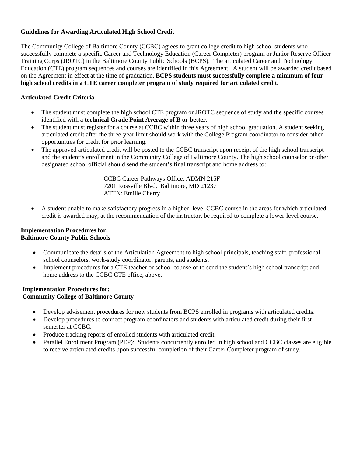## **Guidelines for Awarding Articulated High School Credit**

The Community College of Baltimore County (CCBC) agrees to grant college credit to high school students who successfully complete a specific Career and Technology Education (Career Completer) program or Junior Reserve Officer Training Corps (JROTC) in the Baltimore County Public Schools (BCPS). The articulated Career and Technology Education (CTE) program sequences and courses are identified in this Agreement. A student will be awarded credit based on the Agreement in effect at the time of graduation. **BCPS students must successfully complete a minimum of four high school credits in a CTE career completer program of study required for articulated credit.** 

#### **Articulated Credit Criteria**

- The student must complete the high school CTE program or JROTC sequence of study and the specific courses identified with a **technical Grade Point Average of B or better**.
- The student must register for a course at CCBC within three years of high school graduation. A student seeking articulated credit after the three-year limit should work with the College Program coordinator to consider other opportunities for credit for prior learning.
- The approved articulated credit will be posted to the CCBC transcript upon receipt of the high school transcript and the student's enrollment in the Community College of Baltimore County. The high school counselor or other designated school official should send the student's final transcript and home address to:

CCBC Career Pathways Office, ADMN 215F 7201 Rossville Blvd. Baltimore, MD 21237 ATTN: Emilie Cherry

 A student unable to make satisfactory progress in a higher- level CCBC course in the areas for which articulated credit is awarded may, at the recommendation of the instructor, be required to complete a lower-level course.

#### **Implementation Procedures for: Baltimore County Public Schools**

- Communicate the details of the Articulation Agreement to high school principals, teaching staff, professional school counselors, work-study coordinator, parents, and students.
- Implement procedures for a CTE teacher or school counselor to send the student's high school transcript and home address to the CCBC CTE office, above.

#### **Implementation Procedures for: Community College of Baltimore County**

- Develop advisement procedures for new students from BCPS enrolled in programs with articulated credits.
- Develop procedures to connect program coordinators and students with articulated credit during their first semester at CCBC.
- Produce tracking reports of enrolled students with articulated credit.
- Parallel Enrollment Program (PEP): Students concurrently enrolled in high school and CCBC classes are eligible to receive articulated credits upon successful completion of their Career Completer program of study.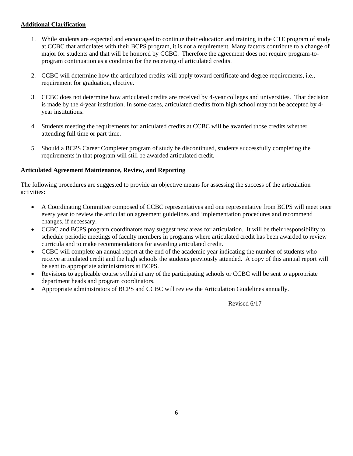#### **Additional Clarification**

- 1. While students are expected and encouraged to continue their education and training in the CTE program of study at CCBC that articulates with their BCPS program, it is not a requirement. Many factors contribute to a change of major for students and that will be honored by CCBC. Therefore the agreement does not require program-toprogram continuation as a condition for the receiving of articulated credits.
- 2. CCBC will determine how the articulated credits will apply toward certificate and degree requirements, i.e., requirement for graduation, elective.
- 3. CCBC does not determine how articulated credits are received by 4-year colleges and universities. That decision is made by the 4-year institution. In some cases, articulated credits from high school may not be accepted by 4 year institutions.
- 4. Students meeting the requirements for articulated credits at CCBC will be awarded those credits whether attending full time or part time.
- 5. Should a BCPS Career Completer program of study be discontinued, students successfully completing the requirements in that program will still be awarded articulated credit.

#### **Articulated Agreement Maintenance, Review, and Reporting**

The following procedures are suggested to provide an objective means for assessing the success of the articulation activities:

- A Coordinating Committee composed of CCBC representatives and one representative from BCPS will meet once every year to review the articulation agreement guidelines and implementation procedures and recommend changes, if necessary.
- CCBC and BCPS program coordinators may suggest new areas for articulation. It will be their responsibility to schedule periodic meetings of faculty members in programs where articulated credit has been awarded to review curricula and to make recommendations for awarding articulated credit.
- CCBC will complete an annual report at the end of the academic year indicating the number of students who receive articulated credit and the high schools the students previously attended. A copy of this annual report will be sent to appropriate administrators at BCPS.
- Revisions to applicable course syllabi at any of the participating schools or CCBC will be sent to appropriate department heads and program coordinators.
- Appropriate administrators of BCPS and CCBC will review the Articulation Guidelines annually.

Revised 6/17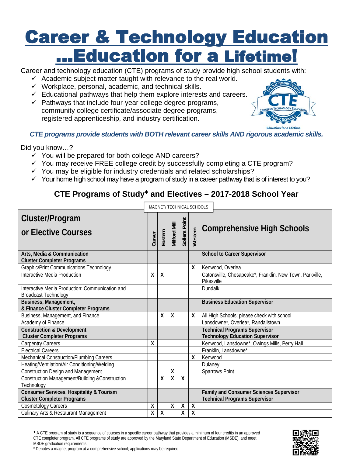# **Career & Technology Education** ... Education for a Lifetime!

Career and technology education (CTE) programs of study provide high school students with:

- $\checkmark$  Academic subject matter taught with relevance to the real world.
- $\checkmark$  Workplace, personal, academic, and technical skills.
- $\checkmark$  Educational pathways that help them explore interests and careers.
- $\checkmark$  Pathways that include four-year college degree programs, community college certificate/associate degree programs, registered apprenticeship, and industry certification.



*CTE programs provide students with BOTH relevant career skills AND rigorous academic skills.* 

Did you know…?

- $\checkmark$  You will be prepared for both college AND careers?
- $\checkmark$  You may receive FREE college credit by successfully completing a CTE program?
- $\checkmark$  You may be eligible for industry credentials and related scholarships?
- $\checkmark$  Your home high school may have a program of study in a career pathway that is of interest to you?

## **CTE Programs of Study and Electives – 2017-2018 School Year**

|                                                                                |        |         |                     | MAGNET/ TECHNICAL SCHOOLS |                           |                                                                                        |
|--------------------------------------------------------------------------------|--------|---------|---------------------|---------------------------|---------------------------|----------------------------------------------------------------------------------------|
| Cluster/Program<br>or Elective Courses                                         | Carver | Eastern | <b>Vilford Mill</b> | Sollers Point             | Western                   | <b>Comprehensive High Schools</b>                                                      |
| Arts, Media & Communication<br><b>Cluster Completer Programs</b>               |        |         |                     |                           |                           | <b>School to Career Supervisor</b>                                                     |
| Graphic/Print Communications Technology                                        |        |         |                     |                           | X                         | Kenwood, Overlea                                                                       |
| Interactive Media Production                                                   | Χ      | Χ       |                     |                           |                           | Catonsville, Chesapeake*, Franklin, New Town, Parkville,<br>Pikesville                 |
| Interactive Media Production: Communication and<br><b>Broadcast Technology</b> |        |         |                     |                           |                           | Dundalk                                                                                |
| Business, Management,<br>& Finance Cluster Completer Programs                  |        |         |                     |                           |                           | <b>Business Education Supervisor</b>                                                   |
| Business, Management, and Finance                                              |        | Χ       | $\pmb{\chi}$        |                           | X                         | All High Schools; please check with school                                             |
| Academy of Finance                                                             |        |         |                     |                           |                           | Lansdowne*, Overlea*, Randallstown                                                     |
| <b>Construction &amp; Development</b><br><b>Cluster Completer Programs</b>     |        |         |                     |                           |                           | <b>Technical Programs Supervisor</b><br><b>Technology Education Supervisor</b>         |
| <b>Carpentry Careers</b>                                                       | Χ      |         |                     |                           |                           | Kenwood, Lansdowne <sup>*</sup> , Owings Mills, Perry Hall                             |
| <b>Electrical Careers</b>                                                      |        |         |                     |                           |                           | Franklin, Lansdowne*                                                                   |
| Mechanical Construction/Plumbing Careers                                       |        |         |                     |                           | X                         | Kenwood                                                                                |
| Heating/Ventilation/Air Conditioning/Welding                                   |        |         |                     |                           |                           | Dulaney                                                                                |
| <b>Construction Design and Management</b>                                      |        |         | $\pmb{\chi}$        |                           |                           | Sparrows Point                                                                         |
| Construction Management/Building &Construction<br>Technology                   |        | X       | $\boldsymbol{X}$    | $\sf X$                   |                           |                                                                                        |
| Consumer Services, Hospitality & Tourism<br><b>Cluster Completer Programs</b>  |        |         |                     |                           |                           | <b>Family and Consumer Sciences Supervisor</b><br><b>Technical Programs Supervisor</b> |
| <b>Cosmetology Careers</b>                                                     | χ      |         | χ                   | χ                         | X                         |                                                                                        |
| <b>Culinary Arts &amp; Restaurant Management</b>                               | X      | X       |                     | $\sf X$                   | $\boldsymbol{\mathsf{X}}$ |                                                                                        |

 A CTE program of study is a sequence of courses in a specific career pathway that provides a minimum of four credits in an approved CTE completer program. All CTE programs of study are approved by the Maryland State Department of Education (MSDE), and meet MSDE graduation requirements. \* Denotes a magnet program at a comprehensive school; applications may be required.

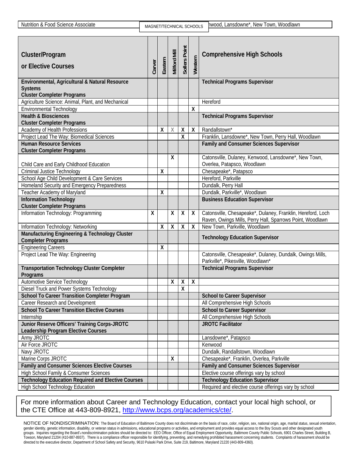| Nutrition & Food Science Associate                                          | MAGNET/TECHNICAL SCHOOLS |         |                     |                    |              | hwood, Lansdowne*, New Town, Woodlawn                                                                                    |
|-----------------------------------------------------------------------------|--------------------------|---------|---------------------|--------------------|--------------|--------------------------------------------------------------------------------------------------------------------------|
|                                                                             |                          |         |                     |                    |              |                                                                                                                          |
| Cluster/Program<br>or Elective Courses                                      | Carver                   | Eastern | <b>Milford Mill</b> | Sollers Point      | Western      | <b>Comprehensive High Schools</b>                                                                                        |
| Environmental, Agricultural & Natural Resource                              |                          |         |                     |                    |              | <b>Technical Programs Supervisor</b>                                                                                     |
| <b>Systems</b>                                                              |                          |         |                     |                    |              |                                                                                                                          |
| <b>Cluster Completer Programs</b>                                           |                          |         |                     |                    |              |                                                                                                                          |
| Agriculture Science: Animal, Plant, and Mechanical                          |                          |         |                     |                    |              | Hereford                                                                                                                 |
| <b>Environmental Technology</b>                                             |                          |         |                     |                    | Χ            |                                                                                                                          |
| <b>Health &amp; Biosciences</b>                                             |                          |         |                     |                    |              | <b>Technical Programs Supervisor</b>                                                                                     |
| <b>Cluster Completer Programs</b>                                           |                          |         |                     |                    | $\mathsf{X}$ | Randallstown*                                                                                                            |
| Academy of Health Professions                                               |                          | χ       | X                   | X<br>X             |              |                                                                                                                          |
| Project Lead The Way: Biomedical Sciences<br><b>Human Resource Services</b> |                          |         |                     |                    |              | Franklin, Lansdowne*, New Town, Perry Hall, Woodlawn<br><b>Family and Consumer Sciences Supervisor</b>                   |
| <b>Cluster Completer Programs</b>                                           |                          |         |                     |                    |              |                                                                                                                          |
|                                                                             |                          |         | $\pmb{\mathsf{X}}$  |                    |              | Catonsville, Dulaney, Kenwood, Lansdowne*, New Town,                                                                     |
| Child Care and Early Childhood Education                                    |                          |         |                     |                    |              | Overlea, Patapsco, Woodlawn                                                                                              |
| <b>Criminal Justice Technology</b>                                          |                          | X       |                     |                    |              | Chesapeake*, Patapsco                                                                                                    |
| School Age Child Development & Care Services                                |                          |         |                     |                    |              | Hereford, Parkville                                                                                                      |
| Homeland Security and Emergency Preparedness                                |                          |         |                     |                    |              | Dundalk, Perry Hall                                                                                                      |
| Teacher Academy of Maryland                                                 |                          | χ       |                     |                    |              | Dundalk, Parkville*, Woodlawn                                                                                            |
| <b>Information Technology</b>                                               |                          |         |                     |                    |              | <b>Business Education Supervisor</b>                                                                                     |
| <b>Cluster Completer Programs</b>                                           |                          |         |                     |                    |              |                                                                                                                          |
| Information Technology: Programming                                         | X                        |         | X                   | X                  | X            | Catonsville, Chesapeake*, Dulaney, Franklin, Hereford, Loch<br>Raven, Owings Mills, Perry Hall, Sparrows Point, Woodlawn |
| Information Technology: Networking                                          |                          | χ       | X                   | χ                  | $\mathsf{X}$ | New Town, Parkville, Woodlawn                                                                                            |
| Manufacturing Engineering & Technology Cluster<br><b>Completer Programs</b> |                          |         |                     |                    |              | <b>Technology Education Supervisor</b>                                                                                   |
| <b>Engineering Careers</b>                                                  |                          | χ       |                     |                    |              |                                                                                                                          |
| Project Lead The Way: Engineering                                           |                          |         |                     |                    |              | Catonsville, Chesapeake*, Dulaney, Dundalk, Owings Mills,<br>Parkville*, Pikesville, Woodlawn*                           |
| <b>Transportation Technology Cluster Completer</b><br>Programs              |                          |         |                     |                    |              | <b>Technical Programs Supervisor</b>                                                                                     |
| <b>Automotive Service Technology</b>                                        |                          |         | x                   | X                  | X            |                                                                                                                          |
| Diesel Truck and Power Systems Technology                                   |                          |         |                     | $\pmb{\mathsf{X}}$ |              |                                                                                                                          |
| <b>School To Career Transition Completer Program</b>                        |                          |         |                     |                    |              | <b>School to Career Supervisor</b>                                                                                       |
| Career Research and Development                                             |                          |         |                     |                    |              | All Comprehensive High Schools                                                                                           |
| <b>School To Career Transition Elective Courses</b>                         |                          |         |                     |                    |              | <b>School to Career Supervisor</b>                                                                                       |
| Internship                                                                  |                          |         |                     |                    |              | All Comprehensive High Schools                                                                                           |
| Junior Reserve Officers' Training Corps-JROTC                               |                          |         |                     |                    |              | <b>JROTC Facilitator</b>                                                                                                 |
| Leadership Program Elective Courses                                         |                          |         |                     |                    |              |                                                                                                                          |
| Army JROTC                                                                  |                          |         |                     |                    |              | Lansdowne*, Patapsco                                                                                                     |
| Air Force JROTC                                                             |                          |         |                     |                    |              | Kenwood                                                                                                                  |
| Navy JROTC                                                                  |                          |         |                     |                    |              | Dundalk, Randallstown, Woodlawn                                                                                          |
| Marine Corps JROTC                                                          |                          |         | χ                   |                    |              | Chesapeake*, Franklin, Overlea, Parkville                                                                                |
| Family and Consumer Sciences Elective Courses                               |                          |         |                     |                    |              | <b>Family and Consumer Sciences Supervisor</b>                                                                           |
| High School Family & Consumer Sciences                                      |                          |         |                     |                    |              | Elective course offerings vary by school                                                                                 |
| <b>Technology Education Required and Elective Courses</b>                   |                          |         |                     |                    |              | <b>Technology Education Supervisor</b>                                                                                   |
| <b>High School Technology Education</b>                                     |                          |         |                     |                    |              | Required and elective course offerings vary by school                                                                    |

## For more information about Career and Technology Education, contact your local high school, or the CTE Office at 443-809-8921, http://www.bcps.org/academics/cte/.

NOTICE OF NONDISCRIMINATION: The Board of Education of Baltimore County does not discriminate on the basis of race, color, religion, sex, national origin, age, marital status, sexual orientation, gender identity, genetic information, disability, or veteran status in admissions, educational programs or activities, and employment and provides equal access to the Boy Scouts and other designated youth groups. Inquiries regarding the Board's nondiscrimination policies should be directed to: EEO Officer, Office of Equal Employment Opportunity, Baltimore County Public Schools, 6901 Charles Street, Building B, Towson, Maryland 21204 (410-887-8937). There is a compliance officer responsible for identifying, preventing, and remedying prohibited harassment concerning students. Complaints of harassment should be directed to the executive director, Department of School Safety and Security, 9610 Pulaski Park Drive, Suite 219, Baltimore, Maryland 21220 (443-809-4360).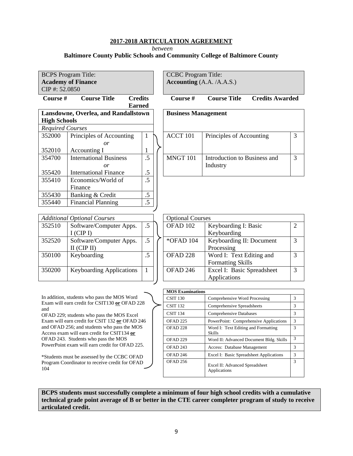*between* 

#### **Baltimore County Public Schools and Community College of Baltimore County**

| <b>BCPS</b> Program Title: |                                      |                |  | <b>CCBC</b> Program Title:   |                              |                        |   |  |  |
|----------------------------|--------------------------------------|----------------|--|------------------------------|------------------------------|------------------------|---|--|--|
|                            | <b>Academy of Finance</b>            |                |  | Accounting $(A.A. / A.A.S.)$ |                              |                        |   |  |  |
| $CIP$ #: 52.0850           |                                      |                |  |                              |                              |                        |   |  |  |
| <b>Course</b> #            | <b>Course Title</b>                  | <b>Credits</b> |  | Course #                     | <b>Course Title</b>          | <b>Credits Awarded</b> |   |  |  |
|                            |                                      | <b>Earned</b>  |  |                              |                              |                        |   |  |  |
|                            | Lansdowne, Overlea, and Randallstown |                |  | <b>Business Management</b>   |                              |                        |   |  |  |
| <b>High Schools</b>        |                                      |                |  |                              |                              |                        |   |  |  |
| <b>Required Courses</b>    |                                      |                |  |                              |                              |                        |   |  |  |
| 352000                     | Principles of Accounting             | 1              |  | ACCT 101                     | Principles of Accounting     |                        | 3 |  |  |
|                            | or                                   |                |  |                              |                              |                        |   |  |  |
| 352010                     | Accounting I                         | $\bf{l}$       |  |                              |                              |                        |   |  |  |
| 354700                     | <b>International Business</b>        | .5             |  | MNGT 101                     | Introduction to Business and |                        | 3 |  |  |
|                            | $\overline{or}$                      |                |  |                              | Industry                     |                        |   |  |  |
| 355420                     | <b>International Finance</b>         | .5             |  |                              |                              |                        |   |  |  |
| 355410                     | Economics/World of                   | .5             |  |                              |                              |                        |   |  |  |
|                            | Finance                              |                |  |                              |                              |                        |   |  |  |
| 355430                     | Banking & Credit                     | .5             |  |                              |                              |                        |   |  |  |
| 355440                     | <b>Financial Planning</b>            | $.5\,$         |  |                              |                              |                        |   |  |  |
|                            |                                      |                |  |                              |                              |                        |   |  |  |

|        | <b>Additional Optional Courses</b> |    | <b>Optional Courses</b> |                            |
|--------|------------------------------------|----|-------------------------|----------------------------|
| 352510 | Software/Computer Apps.            | .5 | OFAD 102                | Keyboarding I: Basic       |
|        | $I$ (CIP I)                        |    |                         | Keyboarding                |
| 352520 | Software/Computer Apps.            | .5 | *OFAD 104               | Keyboarding II: Document   |
|        | $II$ (CIP II)                      |    |                         | Processing                 |
| 350100 | Keyboarding                        | .5 | OFAD <sub>228</sub>     | Word I: Text Editing and   |
|        |                                    |    |                         | <b>Formatting Skills</b>   |
| 350200 | <b>Keyboarding Applications</b>    | 1  | OFAD 246                | Excel I: Basic Spreadsheet |
|        |                                    |    |                         | Applications               |
|        |                                    |    |                         |                            |

In addition, students who pass the MOS Word Exam will earn credit for CSIT130 **or** OFAD 228 and

OFAD 229; students who pass the MOS Excel Exam will earn credit for CSIT 132 **or** OFAD 246 and OFAD 256; and students who pass the MOS Access exam will earn credit for CSIT134 **or** OFAD 243. Students who pass the MOS PowerPoint exam will earn credit for OFAD 225.

\*Students must be assessed by the CCBC OFAD Program Coordinator to receive credit for OFAD 104

| <b>MOS Examinations</b> |                                                      |               |
|-------------------------|------------------------------------------------------|---------------|
| <b>CSIT 130</b>         | Comprehensive Word Processing                        | 3             |
| <b>CSIT 132</b>         | Comprehensive Spreadsheets                           | 3             |
| <b>CSIT 134</b>         | Comprehensive Databases                              | 3             |
| <b>OFAD 225</b>         | PowerPoint: Comprehensive Applications               | $\mathcal{R}$ |
| OFAD <sub>228</sub>     | Word I: Text Editing and Formatting<br><b>Skills</b> | 3             |
| OFAD <sub>229</sub>     | Word II: Advanced Document Bldg. Skills              | $\mathcal{R}$ |
| OFAD <sub>243</sub>     | Access: Database Management                          | 3             |
| OFAD <sub>246</sub>     | Excel I: Basic Spreadsheet Applications              | 3             |
| <b>OFAD 256</b>         | Excel II: Advanced Spreadsheet<br>Applications       | $\mathcal{R}$ |

2

3

3

3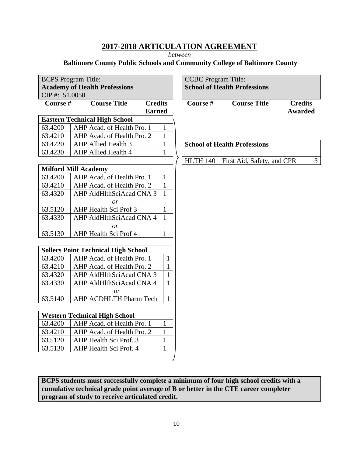*between* 

#### **Baltimore County Public Schools and Community College of Baltimore County**

|          | <b>BCPS</b> Program Title:<br><b>Academy of Health Professions</b><br>CIP#: 51.0050 |                |              |  | <b>CCBC</b> Program Title: | <b>School of Health Professions</b> |                |
|----------|-------------------------------------------------------------------------------------|----------------|--------------|--|----------------------------|-------------------------------------|----------------|
| Course # | <b>Course Title</b>                                                                 | <b>Credits</b> |              |  | Course #                   | <b>Course Title</b>                 | <b>Credits</b> |
|          | <b>Eastern Technical High School</b>                                                | <b>Earned</b>  |              |  |                            |                                     | <b>Awarded</b> |
| 63.4200  | AHP Acad. of Health Pro. 1                                                          |                | $\mathbf{1}$ |  |                            |                                     |                |
| 63.4210  | AHP Acad. of Health Pro. 2                                                          |                | $\mathbf{1}$ |  |                            |                                     |                |
| 63.4220  | <b>AHP Allied Health 3</b>                                                          |                | $\mathbf{1}$ |  |                            | <b>School of Health Professions</b> |                |
| 63.4230  | AHP Allied Health 4                                                                 |                | $\mathbf{1}$ |  |                            |                                     |                |
|          |                                                                                     |                |              |  | <b>HLTH 140</b>            | First Aid, Safety, and CPR          | $\mathfrak{Z}$ |
|          | <b>Milford Mill Academy</b>                                                         |                |              |  |                            |                                     |                |
| 63.4200  | AHP Acad. of Health Pro. 1                                                          |                | $\mathbf{1}$ |  |                            |                                     |                |
| 63.4210  | AHP Acad. of Health Pro. 2                                                          |                | $\mathbf{1}$ |  |                            |                                     |                |
| 63.4320  | AHP AldHlthSciAcad CNA 3                                                            |                | $\mathbf{1}$ |  |                            |                                     |                |
|          | $\overline{or}$                                                                     |                |              |  |                            |                                     |                |
| 63.5120  | AHP Health Sci Prof 3                                                               |                | $\mathbf{1}$ |  |                            |                                     |                |
| 63.4330  | AHP AldHlthSciAcad CNA 4                                                            |                | $\mathbf{1}$ |  |                            |                                     |                |
|          | or                                                                                  |                |              |  |                            |                                     |                |
| 63.5130  | AHP Health Sci Prof 4                                                               |                | $\mathbf{1}$ |  |                            |                                     |                |
|          |                                                                                     |                |              |  |                            |                                     |                |
|          | <b>Sollers Point Technical High School</b>                                          |                |              |  |                            |                                     |                |
| 63.4200  | AHP Acad. of Health Pro. 1                                                          |                | $\mathbf{1}$ |  |                            |                                     |                |
| 63.4210  | AHP Acad. of Health Pro. 2                                                          |                | $\mathbf{1}$ |  |                            |                                     |                |
| 63.4320  | AHP AldHlthSciAcad CNA 3                                                            |                | $\mathbf{1}$ |  |                            |                                     |                |
| 63.4330  | AHP AldHlthSciAcad CNA 4                                                            |                | $\mathbf{1}$ |  |                            |                                     |                |
|          | or                                                                                  |                |              |  |                            |                                     |                |
| 63.5140  | AHP ACDHLTH Pharm Tech                                                              |                | $\mathbf{1}$ |  |                            |                                     |                |
|          | <b>Western Technical High School</b>                                                |                |              |  |                            |                                     |                |
| 63.4200  | AHP Acad. of Health Pro. 1                                                          |                | $\mathbf{1}$ |  |                            |                                     |                |
| 63.4210  | AHP Acad. of Health Pro. 2                                                          |                | $\mathbf{1}$ |  |                            |                                     |                |
| 63.5120  | AHP Health Sci Prof. 3                                                              |                | $\mathbf{1}$ |  |                            |                                     |                |
| 63.5130  | AHP Health Sci Prof. 4                                                              |                | $\mathbf{1}$ |  |                            |                                     |                |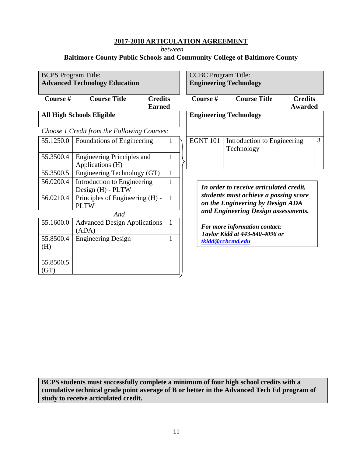*between* 

## **Baltimore County Public Schools and Community College of Baltimore County**

| <b>BCPS</b> Program Title: | <b>Advanced Technology Education</b>                   |              | <b>CCBC</b> Program Title:    | <b>Engineering Technology</b>                                             |                                  |                |
|----------------------------|--------------------------------------------------------|--------------|-------------------------------|---------------------------------------------------------------------------|----------------------------------|----------------|
| Course #                   | <b>Course Title</b><br><b>Credits</b><br><b>Earned</b> |              | Course #                      | <b>Course Title</b>                                                       | <b>Credits</b><br><b>Awarded</b> |                |
|                            | <b>All High Schools Eligible</b>                       |              | <b>Engineering Technology</b> |                                                                           |                                  |                |
|                            | Choose 1 Credit from the Following Courses:            |              |                               |                                                                           |                                  |                |
| 55.1250.0                  | Foundations of Engineering                             | 1            | <b>EGNT 101</b>               | Introduction to Engineering<br>Technology                                 |                                  | $\overline{3}$ |
| 55.3500.4                  | <b>Engineering Principles and</b><br>Applications (H)  | 1            |                               |                                                                           |                                  |                |
| 55.3500.5                  | Engineering Technology (GT)                            | $\mathbf{1}$ |                               |                                                                           |                                  |                |
| 56.0200.4                  | Introduction to Engineering<br>Design (H) - PLTW       | $\mathbf{1}$ |                               | In order to receive articulated credit,                                   |                                  |                |
| 56.0210.4                  | Principles of Engineering (H) -<br><b>PLTW</b>         | 1            |                               | students must achieve a passing score<br>on the Engineering by Design ADA |                                  |                |
|                            | And                                                    |              |                               | and Engineering Design assessments.                                       |                                  |                |
| 55.1600.0                  | <b>Advanced Design Applications</b><br>(ADA)           | $\mathbf{1}$ |                               | For more information contact:<br>Taylor Kidd at 443-840-4096 or           |                                  |                |
| 55.8500.4<br>(H)           | <b>Engineering Design</b>                              | 1            |                               | tkidd@ccbcmd.edu                                                          |                                  |                |
| 55.8500.5<br>(GT)          |                                                        |              |                               |                                                                           |                                  |                |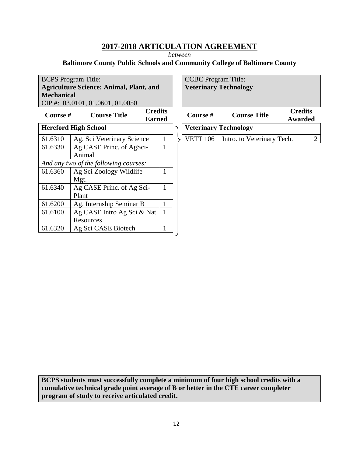*between* 

## **Baltimore County Public Schools and Community College of Baltimore County**

|                             | <b>BCPS</b> Program Title:                             |              |  |                 | <b>CCBC</b> Program Title:   |                                  |                |
|-----------------------------|--------------------------------------------------------|--------------|--|-----------------|------------------------------|----------------------------------|----------------|
|                             | <b>Agriculture Science: Animal, Plant, and</b>         |              |  |                 | <b>Veterinary Technology</b> |                                  |                |
| <b>Mechanical</b>           |                                                        |              |  |                 |                              |                                  |                |
|                             | CIP#: 03.0101, 01.0601, 01.0050                        |              |  |                 |                              |                                  |                |
| Course $#$                  | <b>Credits</b><br><b>Course Title</b><br><b>Earned</b> |              |  | Course $#$      | <b>Course Title</b>          | <b>Credits</b><br><b>Awarded</b> |                |
| <b>Hereford High School</b> |                                                        |              |  |                 | <b>Veterinary Technology</b> |                                  |                |
| 61.6310                     | Ag. Sci Veterinary Science                             | $\mathbf{1}$ |  | <b>VETT 106</b> | Intro. to Veterinary Tech.   |                                  | $\overline{2}$ |
| 61.6330                     | Ag CASE Princ. of AgSci-                               | 1            |  |                 |                              |                                  |                |
|                             | Animal                                                 |              |  |                 |                              |                                  |                |
|                             | And any two of the following courses:                  |              |  |                 |                              |                                  |                |
| 61.6360                     | Ag Sci Zoology Wildlife                                |              |  |                 |                              |                                  |                |
|                             | Mgt.                                                   |              |  |                 |                              |                                  |                |
| 61.6340                     | Ag CASE Princ. of Ag Sci-                              |              |  |                 |                              |                                  |                |
|                             | Plant                                                  |              |  |                 |                              |                                  |                |
| 61.6200                     | Ag. Internship Seminar B                               |              |  |                 |                              |                                  |                |
| 61.6100                     | Ag CASE Intro Ag Sci & Nat                             | $\mathbf{1}$ |  |                 |                              |                                  |                |
|                             | Resources                                              |              |  |                 |                              |                                  |                |
| 61.6320                     | Ag Sci CASE Biotech                                    |              |  |                 |                              |                                  |                |
|                             |                                                        |              |  |                 |                              |                                  |                |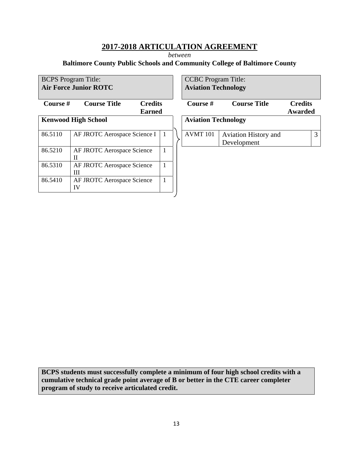*between* 

## **Baltimore County Public Schools and Community College of Baltimore County**

|          | <b>BCPS</b> Program Title:       |                                 |   | <b>CCBC</b> Program Title: |                                            |                           |   |
|----------|----------------------------------|---------------------------------|---|----------------------------|--------------------------------------------|---------------------------|---|
|          | <b>Air Force Junior ROTC</b>     |                                 |   | <b>Aviation Technology</b> |                                            |                           |   |
| Course # | <b>Course Title</b>              | <b>Credits</b><br><b>Earned</b> |   | Course #                   | <b>Course Title</b>                        | <b>Credits</b><br>Awarded |   |
|          | <b>Kenwood High School</b>       |                                 |   | <b>Aviation Technology</b> |                                            |                           |   |
| 86.5110  | AF JROTC Aerospace Science I     |                                 |   | AVMT <sub>101</sub>        | <b>Aviation History and</b><br>Development |                           | 3 |
| 86.5210  | AF JROTC Aerospace Science<br>H  |                                 | 1 |                            |                                            |                           |   |
| 86.5310  | AF JROTC Aerospace Science<br>Ш  |                                 | 1 |                            |                                            |                           |   |
| 86.5410  | AF JROTC Aerospace Science<br>IV |                                 |   |                            |                                            |                           |   |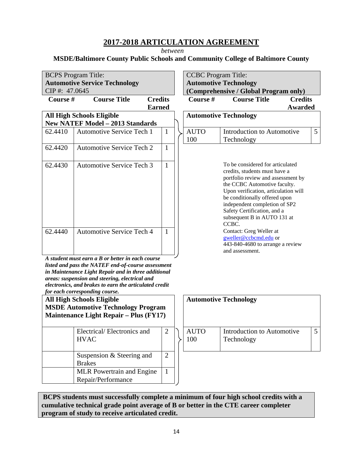*between* 

## **MSDE/Baltimore County Public Schools and Community College of Baltimore County**

|               | <b>BCPS</b> Program Title:                                                                                                                                                                                                                                                                                                                      |                | <b>CCBC</b> Program Title: |                                                                                                                                                                                                                                                                                                                          |                |   |
|---------------|-------------------------------------------------------------------------------------------------------------------------------------------------------------------------------------------------------------------------------------------------------------------------------------------------------------------------------------------------|----------------|----------------------------|--------------------------------------------------------------------------------------------------------------------------------------------------------------------------------------------------------------------------------------------------------------------------------------------------------------------------|----------------|---|
|               | <b>Automotive Service Technology</b>                                                                                                                                                                                                                                                                                                            |                |                            | <b>Automotive Technology</b>                                                                                                                                                                                                                                                                                             |                |   |
| CIP#: 47.0645 |                                                                                                                                                                                                                                                                                                                                                 |                |                            | (Comprehensive / Global Program only)                                                                                                                                                                                                                                                                                    |                |   |
| Course #      | <b>Course Title</b>                                                                                                                                                                                                                                                                                                                             | <b>Credits</b> | Course #                   | <b>Course Title</b>                                                                                                                                                                                                                                                                                                      | <b>Credits</b> |   |
|               |                                                                                                                                                                                                                                                                                                                                                 | <b>Earned</b>  |                            |                                                                                                                                                                                                                                                                                                                          | <b>Awarded</b> |   |
|               | <b>All High Schools Eligible</b><br><b>New NATEF Model - 2013 Standards</b>                                                                                                                                                                                                                                                                     |                |                            | <b>Automotive Technology</b>                                                                                                                                                                                                                                                                                             |                |   |
| 62.4410       | <b>Automotive Service Tech 1</b>                                                                                                                                                                                                                                                                                                                |                | <b>AUTO</b>                | Introduction to Automotive                                                                                                                                                                                                                                                                                               |                | 5 |
|               |                                                                                                                                                                                                                                                                                                                                                 | $\mathbf{1}$   | 100                        | Technology                                                                                                                                                                                                                                                                                                               |                |   |
| 62.4420       | <b>Automotive Service Tech 2</b>                                                                                                                                                                                                                                                                                                                | 1              |                            |                                                                                                                                                                                                                                                                                                                          |                |   |
| 62.4430       | <b>Automotive Service Tech 3</b>                                                                                                                                                                                                                                                                                                                | $\mathbf{1}$   |                            | To be considered for articulated<br>credits, students must have a<br>portfolio review and assessment by<br>the CCBC Automotive faculty.<br>Upon verification, articulation will<br>be conditionally offered upon<br>independent completion of SP2<br>Safety Certification, and a<br>subsequent B in AUTO 131 at<br>CCBC. |                |   |
| 62.4440       | <b>Automotive Service Tech 4</b>                                                                                                                                                                                                                                                                                                                | 1              |                            | Contact: Greg Weller at<br>gweller@ccbcmd.edu or<br>443-840-4680 to arrange a review<br>and assessment.                                                                                                                                                                                                                  |                |   |
|               | A student must earn a B or better in each course<br>listed and pass the NATEF end-of-course assessment<br>in Maintenance Light Repair and in three additional<br>areas: suspension and steering, electrical and<br>electronics, and brakes to earn the articulated credit<br>for each corresponding course.<br><b>All High Schools Eligible</b> |                |                            | <b>Automotive Technology</b>                                                                                                                                                                                                                                                                                             |                |   |
|               | <b>MSDE Automotive Technology Program</b><br><b>Maintenance Light Repair – Plus (FY17)</b>                                                                                                                                                                                                                                                      |                |                            |                                                                                                                                                                                                                                                                                                                          |                |   |
|               | Electrical/Electronics and<br><b>HVAC</b>                                                                                                                                                                                                                                                                                                       | 2              | <b>AUTO</b><br>100         | Introduction to Automotive<br>Technology                                                                                                                                                                                                                                                                                 |                | 5 |
|               | Suspension & Steering and<br><b>Brakes</b>                                                                                                                                                                                                                                                                                                      | $\overline{2}$ |                            |                                                                                                                                                                                                                                                                                                                          |                |   |
|               | MLR Powertrain and Engine<br>Repair/Performance                                                                                                                                                                                                                                                                                                 | $\mathbf{1}$   |                            |                                                                                                                                                                                                                                                                                                                          |                |   |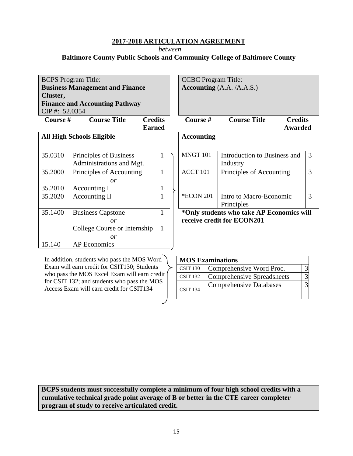*between* 

**Baltimore County Public Schools and Community College of Baltimore County**

| <b>BCPS</b> Program Title:       |                                        |                |
|----------------------------------|----------------------------------------|----------------|
|                                  | <b>Business Management and Finance</b> |                |
| Cluster,                         |                                        |                |
|                                  | <b>Finance and Accounting Pathway</b>  |                |
| CIP#: 52.0354                    |                                        |                |
| <b>Course</b> #                  | <b>Course Title</b>                    | <b>Credits</b> |
|                                  |                                        | <b>Earned</b>  |
| <b>All High Schools Eligible</b> |                                        |                |

| 35.0310 | Principles of Business       | L | MNGT 101  | Introduction to Business a         |
|---------|------------------------------|---|-----------|------------------------------------|
|         | Administrations and Mgt.     |   |           | Industry                           |
| 35.2000 | Principles of Accounting     | 1 | ACCT 101  | Principles of Accounting           |
|         | or                           |   |           |                                    |
| 35.2010 | Accounting I                 | 1 |           |                                    |
| 35.2020 | Accounting II                | 1 | *ECON 201 | Intro to Macro-Economic            |
|         |                              |   |           | Principles                         |
| 35.1400 | <b>Business Capstone</b>     | 1 |           | *Only students who take AP Economi |
|         | or                           |   |           | receive credit for ECON201         |
|         | College Course or Internship | 1 |           |                                    |
|         | or                           |   |           |                                    |
| 15.140  | AP Economics                 |   |           |                                    |

In addition, students who pass the MOS Word Exam will earn credit for CSIT130; Students who pass the MOS Excel Exam will earn credit for CSIT 132; and students who pass the MOS Access Exam will earn credit for CSIT134

CCBC Program Title: **Accounting** (A.A. /A.A.S.)

| Course # | <b>Course Title</b> | <b>Credits</b> |
|----------|---------------------|----------------|
|          |                     | Awarded        |

|   | <b>Accounting</b> |                              |               |
|---|-------------------|------------------------------|---------------|
| 1 | MNGT 101          | Introduction to Business and | 3             |
|   |                   | Industry                     |               |
| 1 | ACCT 101          | Principles of Accounting     | 3             |
|   |                   |                              |               |
| 1 |                   |                              |               |
| 1 | <b>*ECON 201</b>  | Intro to Macro-Economic      | $\mathcal{R}$ |
|   |                   | Principles                   |               |

**\*Only students who take AP Economics will receive credit for ECON201** 

| <b>MOS Examinations</b> |                                   |  |  |  |  |  |
|-------------------------|-----------------------------------|--|--|--|--|--|
| <b>CSIT 130</b>         | Comprehensive Word Proc.          |  |  |  |  |  |
| <b>CSIT 132</b>         | <b>Comprehensive Spreadsheets</b> |  |  |  |  |  |
| <b>CSIT 134</b>         | <b>Comprehensive Databases</b>    |  |  |  |  |  |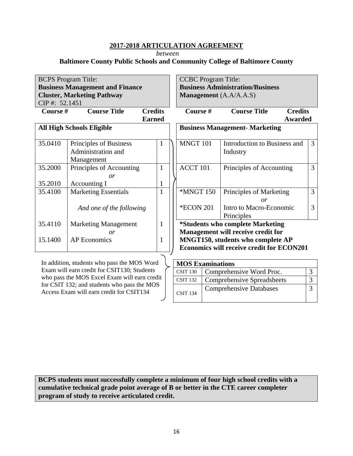*between* 

#### **Baltimore County Public Schools and Community College of Baltimore County**

|                                     | <b>BCPS</b> Program Title:                      |                |  | <b>CCBC</b> Program Title: |                                           |                |                |
|-------------------------------------|-------------------------------------------------|----------------|--|----------------------------|-------------------------------------------|----------------|----------------|
|                                     | <b>Business Management and Finance</b>          |                |  |                            | <b>Business Administration/Business</b>   |                |                |
|                                     | <b>Cluster, Marketing Pathway</b>               |                |  | Management (A.A/A.A.S)     |                                           |                |                |
| CIP#: 52.1451                       |                                                 |                |  |                            |                                           |                |                |
| Course #                            | <b>Course Title</b>                             | <b>Credits</b> |  | Course #                   | <b>Course Title</b>                       | <b>Credits</b> |                |
|                                     | <b>Earned</b>                                   |                |  |                            |                                           | <b>Awarded</b> |                |
|                                     | <b>All High Schools Eligible</b>                |                |  |                            | <b>Business Management- Marketing</b>     |                |                |
|                                     |                                                 |                |  |                            |                                           |                |                |
| 35.0410                             | Principles of Business                          | 1              |  | MNGT 101                   | Introduction to Business and              |                | 3              |
|                                     | Administration and                              |                |  |                            | Industry                                  |                |                |
|                                     | Management                                      |                |  |                            |                                           |                |                |
| 35.2000                             | Principles of Accounting                        | 1              |  | ACCT 101                   | Principles of Accounting                  |                | 3              |
|                                     | or                                              |                |  |                            |                                           |                |                |
| 35.2010                             | Accounting I                                    |                |  |                            |                                           |                |                |
| 35.4100                             | <b>Marketing Essentials</b>                     |                |  | <b>*MNGT 150</b>           | Principles of Marketing                   |                | $\overline{3}$ |
|                                     |                                                 |                |  |                            | $\overline{or}$                           |                |                |
|                                     | And one of the following                        |                |  | <b>*ECON 201</b>           | Intro to Macro-Economic                   |                | 3              |
|                                     |                                                 |                |  |                            | Principles                                |                |                |
| 35.4110                             | <b>Marketing Management</b>                     | 1              |  |                            | <i>*Students who complete Marketing</i>   |                |                |
|                                     | $\overline{or}$                                 |                |  |                            | Management will receive credit for        |                |                |
| <b>AP</b> Economics<br>15.1400<br>1 |                                                 |                |  |                            | MNGT150, students who complete AP         |                |                |
|                                     |                                                 |                |  |                            | Economics will receive credit for ECON201 |                |                |
|                                     |                                                 |                |  |                            |                                           |                |                |
|                                     | In addition, students who pass the MOS Word     |                |  | <b>MOS Examinations</b>    |                                           |                |                |
|                                     | $FY$ and will earn credit for CSIT130. Students |                |  | $\sim$ $\sim$ $\sim$       | $1$ $1$ $1$ $1$                           |                |                |

Exam will earn credit for CSIT130; Students who pass the MOS Excel Exam will earn credit for CSIT 132; and students who pass the MOS Access Exam will earn credit for CSIT134

| <b>MOS Examinations</b> |                                   |  |  |  |  |  |
|-------------------------|-----------------------------------|--|--|--|--|--|
| <b>CSIT 130</b>         | Comprehensive Word Proc.          |  |  |  |  |  |
| <b>CSIT 132</b>         | <b>Comprehensive Spreadsheets</b> |  |  |  |  |  |
| <b>CSIT 134</b>         | <b>Comprehensive Databases</b>    |  |  |  |  |  |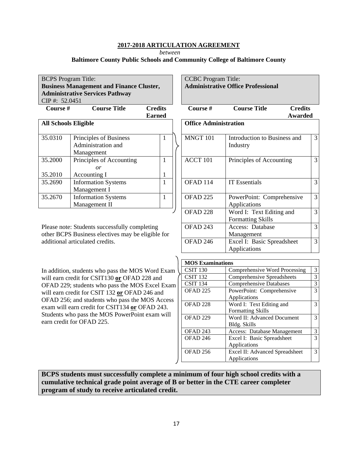*between* 

#### **Baltimore County Public Schools and Community College of Baltimore County**

BCPS Program Title: **Business Management and Finance Cluster, Administrative Services Pathway**  CIP #: 52.0451

| Course #                    | <b>Course Title</b>        | <b>Credits</b><br><b>Earned</b> | Course #                     | Cour           |
|-----------------------------|----------------------------|---------------------------------|------------------------------|----------------|
| <b>All Schools Eligible</b> |                            |                                 | <b>Office Administration</b> |                |
| 35.0310                     | Principles of Business     |                                 | MNGT 101                     | Introdu        |
|                             | Administration and         |                                 |                              | Industi        |
|                             | Management                 |                                 |                              |                |
| 35.2000                     | Principles of Accounting   |                                 | ACCT 101                     | Princip        |
|                             | or                         |                                 |                              |                |
| 35.2010                     | Accounting I               |                                 |                              |                |
| 35.2690                     | <b>Information Systems</b> |                                 | OFAD 114                     | <b>IT Esse</b> |
|                             | Management I               |                                 |                              |                |
| 35.2670                     | <b>Information Systems</b> |                                 | OFAD <sub>225</sub>          | Powerl         |
|                             | Management II              |                                 |                              | Applic         |
|                             |                            |                                 |                              |                |

Please note: Students successfully completing other BCPS Business electives may be eligible for additional articulated credits.

In addition, students who pass the MOS Word Exam will earn credit for CSIT130 **or** OFAD 228 and OFAD 229; students who pass the MOS Excel Exam will earn credit for CSIT 132 **or** OFAD 246 and OFAD 256; and students who pass the MOS Access exam will earn credit for CSIT134 **or** OFAD 243. Students who pass the MOS PowerPoint exam will earn credit for OFAD 225.

CCBC Program Title: **Administrative Office Professional** 

| .<br>S         | Course #                     | <b>Course Title</b><br><b>Credits</b>                |   |
|----------------|------------------------------|------------------------------------------------------|---|
| d              |                              | Awarded                                              |   |
|                | <b>Office Administration</b> |                                                      |   |
| $\overline{1}$ | MNGT 101                     | Introduction to Business and<br>Industry             | 3 |
| $\overline{1}$ | ACCT 101                     | Principles of Accounting                             | 3 |
| $\frac{1}{1}$  | OFAD <sub>114</sub>          | <b>IT Essentials</b>                                 | 3 |
| $\overline{1}$ | OFAD <sub>225</sub>          | PowerPoint: Comprehensive<br>Applications            | 3 |
|                | OFAD <sub>228</sub>          | Word I: Text Editing and<br><b>Formatting Skills</b> | 3 |
| соr            | OFAD <sub>243</sub>          | Access: Database<br>Management                       | 3 |
|                | OFAD <sub>246</sub>          | Excel I: Basic Spreadsheet<br>Applications           | 3 |

| <b>MOS Examinations</b> |                                |   |  |  |  |  |
|-------------------------|--------------------------------|---|--|--|--|--|
| CSIT <sub>130</sub>     | Comprehensive Word Processing  | 3 |  |  |  |  |
| <b>CSIT 132</b>         | Comprehensive Spreadsheets     | 3 |  |  |  |  |
| <b>CSIT 134</b>         | <b>Comprehensive Databases</b> |   |  |  |  |  |
| OFAD <sub>225</sub>     | PowerPoint: Comprehensive      | 3 |  |  |  |  |
|                         | Applications                   |   |  |  |  |  |
| OFAD <sub>228</sub>     | Word I: Text Editing and       | 3 |  |  |  |  |
|                         | <b>Formatting Skills</b>       |   |  |  |  |  |
| OFAD <sub>229</sub>     | Word II: Advanced Document     | 3 |  |  |  |  |
|                         | Bldg. Skills                   |   |  |  |  |  |
| OFAD <sub>243</sub>     | Access: Database Management    | 3 |  |  |  |  |
| OFAD <sub>246</sub>     | Excel I: Basic Spreadsheet     | 3 |  |  |  |  |
|                         | Applications                   |   |  |  |  |  |
| OFAD <sub>256</sub>     | Excel II: Advanced Spreadsheet | 3 |  |  |  |  |
|                         | Applications                   |   |  |  |  |  |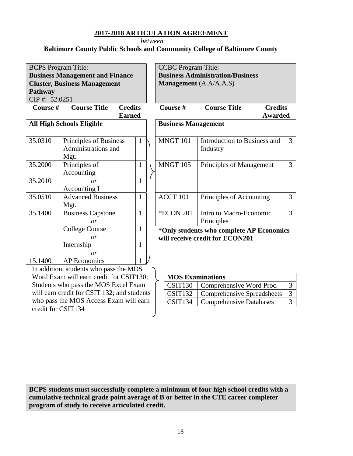*between* 

## **Baltimore County Public Schools and Community College of Baltimore County**

|               | <b>BCPS</b> Program Title:             |              | <b>CCBC</b> Program Title: |                                         |                                          |                |  |  |
|---------------|----------------------------------------|--------------|----------------------------|-----------------------------------------|------------------------------------------|----------------|--|--|
|               | <b>Business Management and Finance</b> |              |                            | <b>Business Administration/Business</b> |                                          |                |  |  |
|               | <b>Cluster, Business Management</b>    |              |                            |                                         | <b>Management</b> (A.A/A.A.S)            |                |  |  |
| Pathway       |                                        |              |                            |                                         |                                          |                |  |  |
| CIP#: 52.0251 |                                        |              |                            |                                         |                                          |                |  |  |
| Course #      | <b>Credits</b><br><b>Course Title</b>  |              |                            | Course #                                | <b>Course Title</b><br><b>Credits</b>    |                |  |  |
|               | <b>Earned</b>                          |              |                            |                                         | Awarded                                  |                |  |  |
|               | <b>All High Schools Eligible</b>       |              |                            | <b>Business Management</b>              |                                          |                |  |  |
|               |                                        |              |                            |                                         |                                          |                |  |  |
| 35.0310       | Principles of Business                 | 1            |                            | <b>MNGT 101</b>                         | Introduction to Business and             | 3              |  |  |
|               | Administrations and                    |              |                            |                                         | Industry                                 |                |  |  |
|               | Mgt.                                   |              |                            |                                         |                                          |                |  |  |
| 35.2000       | Principles of                          | $\mathbf{1}$ |                            | <b>MNGT 105</b>                         | Principles of Management                 | $\overline{3}$ |  |  |
|               | Accounting                             |              |                            |                                         |                                          |                |  |  |
| 35.2010       | or                                     | 1            |                            |                                         |                                          |                |  |  |
|               | Accounting I                           |              |                            |                                         |                                          |                |  |  |
| 35.0510       | <b>Advanced Business</b>               | 1            |                            | ACCT 101                                | Principles of Accounting                 | $\overline{3}$ |  |  |
|               | Mgt.                                   |              |                            |                                         |                                          |                |  |  |
| 35.1400       | <b>Business Capstone</b>               | 1            |                            | <b>*ECON 201</b>                        | Intro to Macro-Economic                  | $\overline{3}$ |  |  |
|               | or                                     |              |                            |                                         | Principles                               |                |  |  |
|               | <b>College Course</b>                  | 1            |                            |                                         | *Only students who complete AP Economics |                |  |  |
|               | or                                     |              |                            |                                         | will receive credit for ECON201          |                |  |  |
|               | Internship                             | 1            |                            |                                         |                                          |                |  |  |
|               | or                                     |              |                            |                                         |                                          |                |  |  |
| 15.1400       | <b>AP</b> Economics                    |              |                            |                                         |                                          |                |  |  |
|               | In addition students who nass the MOS  |              |                            |                                         |                                          |                |  |  |

In addition, students who pass the MOS Word Exam will earn credit for CSIT130; Students who pass the MOS Excel Exam will earn credit for CSIT 132; and students who pass the MOS Access Exam will earn credit for CSIT134

| <b>MOS Examinations</b> |                                   |  |  |  |  |
|-------------------------|-----------------------------------|--|--|--|--|
| CSIT130                 | Comprehensive Word Proc.          |  |  |  |  |
| CSTT132                 | <b>Comprehensive Spreadsheets</b> |  |  |  |  |
| CSIT <sub>134</sub>     | <b>Comprehensive Databases</b>    |  |  |  |  |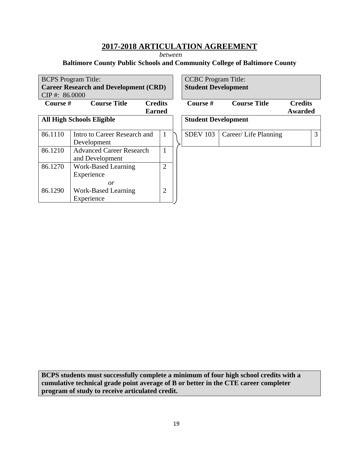*between* 

## **Baltimore County Public Schools and Community College of Baltimore County**

| <b>BCPS</b> Program Title: |                                              |                | <b>CCBC</b> Program Title: |                       |                |   |
|----------------------------|----------------------------------------------|----------------|----------------------------|-----------------------|----------------|---|
|                            | <b>Career Research and Development (CRD)</b> |                | <b>Student Development</b> |                       |                |   |
| $CIP$ #: 86.0000           |                                              |                |                            |                       |                |   |
| Course #                   | <b>Course Title</b><br><b>Credits</b>        |                | Course $#$                 | <b>Course Title</b>   | <b>Credits</b> |   |
|                            | <b>Earned</b>                                |                |                            |                       | Awarded        |   |
|                            | <b>All High Schools Eligible</b>             |                | <b>Student Development</b> |                       |                |   |
|                            |                                              |                |                            |                       |                |   |
| 86.1110                    | Intro to Career Research and                 | 1              | <b>SDEV 103</b>            | Career/ Life Planning |                | 3 |
|                            | Development                                  |                |                            |                       |                |   |
| 86.1210                    | <b>Advanced Career Research</b>              |                |                            |                       |                |   |
|                            | and Development                              |                |                            |                       |                |   |
| 86.1270                    | Work-Based Learning                          | $\overline{2}$ |                            |                       |                |   |
|                            | Experience                                   |                |                            |                       |                |   |
|                            | or                                           |                |                            |                       |                |   |
| 86.1290                    | <b>Work-Based Learning</b>                   | $\overline{2}$ |                            |                       |                |   |
|                            | Experience                                   |                |                            |                       |                |   |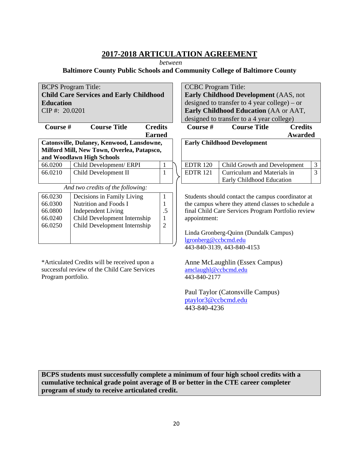*between* 

#### **Baltimore County Public Schools and Community College of Baltimore County**

| <b>BCPS</b> Program Title: | <b>CCBC</b> Pro                                |                |                    |
|----------------------------|------------------------------------------------|----------------|--------------------|
|                            | <b>Child Care Services and Early Childhood</b> |                | <b>Early Chil</b>  |
| <b>Education</b>           |                                                |                | designed to        |
| CIP#: 20.0201              |                                                |                | <b>Early Chil</b>  |
|                            |                                                |                | designed to        |
| Course #                   | <b>Course Title</b>                            | <b>Credits</b> | Course #           |
|                            |                                                | <b>Earned</b>  |                    |
|                            | Catonsville, Dulaney, Kenwood, Lansdowne,      |                | <b>Early Chile</b> |
|                            | Milford Mill, New Town, Overlea, Patapsco,     |                |                    |
|                            | and Woodlawn High Schools                      |                |                    |
| 66.0200                    | Child Development/ ERPI                        | 1              | <b>EDTR 120</b>    |
| 66.0210                    | Child Development II                           | 1              | <b>EDTR 121</b>    |
|                            |                                                |                |                    |
|                            | And two credits of the following:              |                |                    |
| 66.0230                    | Decisions in Family Living                     | 1              | Students she       |
| 66.0300                    | Nutrition and Foods I                          | 1              | the campus         |
| 66.0800                    | <b>Independent Living</b>                      | .5             | final Child        |
| 66.0240                    | Child Development Internship                   | 1              | appointmen         |
| 66.0250                    | Child Development Internship                   | $\overline{2}$ |                    |
|                            |                                                |                | Linda Gron         |
|                            |                                                |                | <u>lgronberg@</u>  |
|                            |                                                |                | 443-840-31         |
|                            |                                                |                |                    |

\*Articulated Credits will be received upon a successful review of the Child Care Services Program portfolio.

gram Title: **Idhood Development** (AAS, not be transfer to 4 year college) – or **Idhood Education** (AA or AAT, between to a 4 year college)

**Course Title Credits Awarded Early Childhood Development**  Child Growth and Development 3 Curriculum and Materials in Early Childhood Education 3

ould contact the campus coordinator at where they attend classes to schedule a Care Services Program Portfolio review  $\mathfrak{m}$ :

berg-Quinn (Dundalk Campus) ccbcmd.edu 443-840-3139, 443-840-4153

Anne McLaughlin (Essex Campus) amclaughl@ccbcmd.edu 443-840-2177

Paul Taylor (Catonsville Campus) ptaylor3@ccbcmd.edu 443-840-4236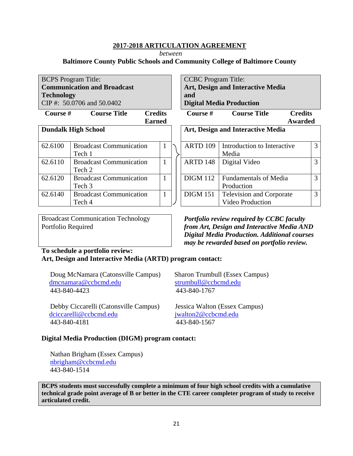*between* 

## **Baltimore County Public Schools and Community College of Baltimore County**

BCPS Program Title: **Communication and Broadcast Technology**  CIP #: 50.0706 and 50.0402

**Course # Course Title Credits** 

**Earned** 

|         | <b>Dundalk High School</b>                          |    |                 | Art, Design and Interactive Media          |
|---------|-----------------------------------------------------|----|-----------------|--------------------------------------------|
| 62.6100 | <b>Broadcast Communication</b><br>Tech 1            | J. | ARTD 109        | Introduction to Interacti<br>Media         |
| 62.6110 | <b>Broadcast Communication</b><br>Tech 2            |    | ARTD 148        | Digital Video                              |
| 62.6120 | <b>Broadcast Communication</b><br>Tech <sub>3</sub> |    | <b>DIGM 112</b> | <b>Fundamentals of Media</b><br>Production |
| 62.6140 | <b>Broadcast Communication</b><br>Tech 4            |    | <b>DIGM 151</b> | Television and Corpora<br>Video Production |

Broadcast Communication Technology Portfolio Required

## **To schedule a portfolio review: Art, Design and Interactive Media (ARTD) program contact:**

 Doug McNamara (Catonsville Campus) Sharon Trumbull (Essex Campus) dmcnamara@ccbcmd.edu strumbull@ccbcmd.edu 443-840-4423 443-840-1767

 Debby Ciccarelli (Catonsville Campus) Jessica Walton (Essex Campus) dciccarelli@ccbcmd.edu jwalton2@ccbcmd.edu 443-840-4181 443-840-1567

CCBC Program Title: **Art, Design and Interactive Media and Digital Media Production** 

| ᅛ            | ovul och        | Course thue                                         |   |
|--------------|-----------------|-----------------------------------------------------|---|
| d            |                 | <b>Awarded</b>                                      |   |
|              |                 | <b>Art, Design and Interactive Media</b>            |   |
| 1            | ARTD 109        | Introduction to Interactive<br>Media                | 3 |
| 1            | ARTD 148        | Digital Video                                       | 3 |
| 1            | <b>DIGM 112</b> | <b>Fundamentals of Media</b><br>Production          | 3 |
| $\mathbf{1}$ | <b>DIGM 151</b> | <b>Television and Corporate</b><br>Video Production | 3 |

**Course # Course Title Credits** 

*Portfolio review required by CCBC faculty from Art, Design and Interactive Media AND Digital Media Production. Additional courses may be rewarded based on portfolio review.* 

## **Digital Media Production (DIGM) program contact:**

 Nathan Brigham (Essex Campus) nbrigham@ccbcmd.edu 443-840-1514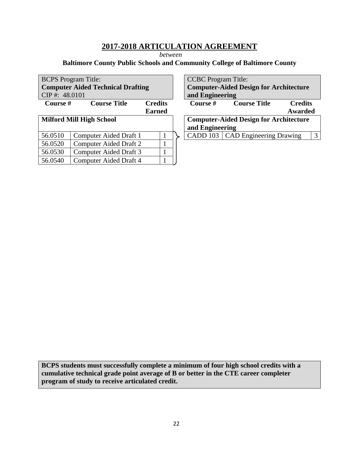*between* 

## **Baltimore County Public Schools and Community College of Baltimore County**

| <b>BCPS</b> Program Title: |                                          |                | <b>CCBC</b> Program Title: |                                               |                |   |
|----------------------------|------------------------------------------|----------------|----------------------------|-----------------------------------------------|----------------|---|
|                            | <b>Computer Aided Technical Drafting</b> |                |                            | <b>Computer-Aided Design for Architecture</b> |                |   |
| $CIP$ #: 48.0101           |                                          |                | and Engineering            |                                               |                |   |
| Course #                   | <b>Course Title</b>                      | <b>Credits</b> | <b>Course</b> #            | <b>Course Title</b>                           | <b>Credits</b> |   |
|                            |                                          | <b>Earned</b>  |                            |                                               | Awarded        |   |
|                            | <b>Milford Mill High School</b>          |                |                            | <b>Computer-Aided Design for Architecture</b> |                |   |
|                            |                                          |                | and Engineering            |                                               |                |   |
| 56.0510                    | Computer Aided Draft 1                   |                |                            | CADD 103   CAD Engineering Drawing            |                | 3 |
| 56.0520                    | <b>Computer Aided Draft 2</b>            |                |                            |                                               |                |   |
| 56.0530                    | Computer Aided Draft 3                   |                |                            |                                               |                |   |
| 56.0540                    | Computer Aided Draft 4                   |                |                            |                                               |                |   |

| <b>CCBC</b> Program Title:                        |                                               |                |  |  |  |  |  |  |
|---------------------------------------------------|-----------------------------------------------|----------------|--|--|--|--|--|--|
| <b>Computer-Aided Design for Architecture</b>     |                                               |                |  |  |  |  |  |  |
| and Engineering                                   |                                               |                |  |  |  |  |  |  |
| Course #<br><b>Course Title</b><br><b>Credits</b> |                                               |                |  |  |  |  |  |  |
|                                                   |                                               | <b>Awarded</b> |  |  |  |  |  |  |
|                                                   | <b>Computer-Aided Design for Architecture</b> |                |  |  |  |  |  |  |
| and Engineering                                   |                                               |                |  |  |  |  |  |  |
| CADD 103   CAD Engineering Drawing                |                                               |                |  |  |  |  |  |  |
|                                                   |                                               |                |  |  |  |  |  |  |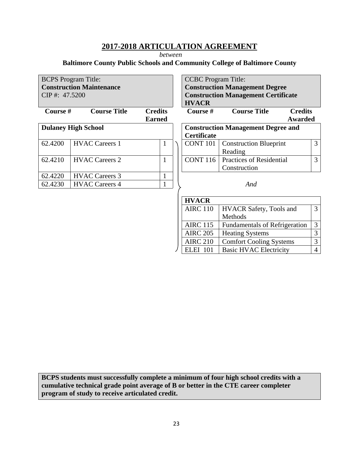*between* 

## **Baltimore County Public Schools and Community College of Baltimore County**

|                                                   | <b>BCPS</b> Program Title:      |               | <b>CCBC</b> Program Title:                  |                                            |                |  |  |
|---------------------------------------------------|---------------------------------|---------------|---------------------------------------------|--------------------------------------------|----------------|--|--|
|                                                   | <b>Construction Maintenance</b> |               |                                             | <b>Construction Management Degree</b>      |                |  |  |
| CIP#: 47.5200                                     |                                 |               |                                             | <b>Construction Management Certificate</b> |                |  |  |
|                                                   |                                 |               | <b>HVACR</b>                                |                                            |                |  |  |
| <b>Course Title</b><br>Course #<br><b>Credits</b> |                                 |               | Course #                                    | <b>Course Title</b><br><b>Credits</b>      |                |  |  |
|                                                   |                                 | <b>Earned</b> |                                             | Awarded                                    |                |  |  |
|                                                   | <b>Dulaney High School</b>      |               |                                             | <b>Construction Management Degree and</b>  |                |  |  |
|                                                   |                                 |               | <b>Certificate</b>                          |                                            |                |  |  |
| 62.4200                                           | <b>HVAC Careers 1</b>           | 1             | <b>CONT 101</b>                             | <b>Construction Blueprint</b>              | 3              |  |  |
|                                                   |                                 |               |                                             | Reading                                    |                |  |  |
| 62.4210                                           | <b>HVAC Careers 2</b>           | 1             | <b>CONT 116</b><br>Practices of Residential |                                            | 3              |  |  |
|                                                   |                                 |               |                                             | Construction                               |                |  |  |
| 62.4220                                           | <b>HVAC Careers 3</b>           |               |                                             |                                            |                |  |  |
| 62.4230                                           | <b>HVAC Careers 4</b>           | $\mathbf{1}$  |                                             | And                                        |                |  |  |
|                                                   |                                 |               |                                             |                                            |                |  |  |
|                                                   |                                 |               | <b>HVACR</b>                                |                                            |                |  |  |
|                                                   |                                 |               | <b>AIRC 110</b>                             | <b>HVACR Safety, Tools and</b>             | 3              |  |  |
|                                                   |                                 |               |                                             | Methods                                    |                |  |  |
|                                                   | <b>AIRC 115</b>                 |               | <b>Fundamentals of Refrigeration</b>        | 3                                          |                |  |  |
|                                                   |                                 |               | <b>AIRC 205</b>                             | <b>Heating Systems</b>                     | 3              |  |  |
|                                                   |                                 |               | <b>AIRC 210</b>                             | <b>Comfort Cooling Systems</b>             | 3              |  |  |
|                                                   |                                 |               | <b>ELEI 101</b>                             | <b>Basic HVAC Electricity</b>              | $\overline{4}$ |  |  |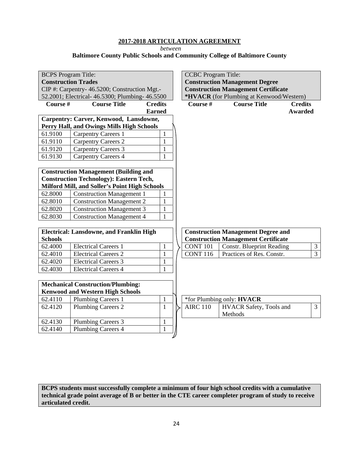*between* 

**Baltimore County Public Schools and Community College of Baltimore County**

| <b>BCPS</b> Program Title:<br><b>Construction Trades</b><br>CIP #: Carpentry- 46.5200; Construction Mgt.- |                                                 | <b>CCBC</b> Program Title: | <b>Construction Management Degree</b>                                                  |                                            |                         |  |  |
|-----------------------------------------------------------------------------------------------------------|-------------------------------------------------|----------------------------|----------------------------------------------------------------------------------------|--------------------------------------------|-------------------------|--|--|
|                                                                                                           | 52.2001; Electrical- 46.5300; Plumbing- 46.5500 |                            | <b>Construction Management Certificate</b><br>*HVACR (for Plumbing at Kenwood/Western) |                                            |                         |  |  |
| Course #                                                                                                  | <b>Course Title</b>                             | <b>Credits</b>             | Course #                                                                               | <b>Course Title</b>                        | <b>Credits</b>          |  |  |
|                                                                                                           |                                                 | <b>Earned</b>              |                                                                                        |                                            | <b>Awarded</b>          |  |  |
|                                                                                                           | Carpentry: Carver, Kenwood, Lansdowne,          |                            |                                                                                        |                                            |                         |  |  |
|                                                                                                           | Perry Hall, and Owings Mills High Schools       |                            |                                                                                        |                                            |                         |  |  |
| 61.9100                                                                                                   | <b>Carpentry Careers 1</b>                      | $\mathbf{1}$               |                                                                                        |                                            |                         |  |  |
| 61.9110                                                                                                   | <b>Carpentry Careers 2</b>                      | $\mathbf{1}$               |                                                                                        |                                            |                         |  |  |
| 61.9120                                                                                                   | <b>Carpentry Careers 3</b>                      | $\mathbf{1}$               |                                                                                        |                                            |                         |  |  |
| 61.9130                                                                                                   | <b>Carpentry Careers 4</b>                      | $\mathbf{1}$               |                                                                                        |                                            |                         |  |  |
|                                                                                                           |                                                 |                            |                                                                                        |                                            |                         |  |  |
|                                                                                                           | <b>Construction Management (Building and</b>    |                            |                                                                                        |                                            |                         |  |  |
|                                                                                                           | <b>Construction Technology): Eastern Tech,</b>  |                            |                                                                                        |                                            |                         |  |  |
|                                                                                                           | Milford Mill, and Soller's Point High Schools   |                            |                                                                                        |                                            |                         |  |  |
| 62.8000                                                                                                   | <b>Construction Management 1</b>                | 1                          |                                                                                        |                                            |                         |  |  |
| 62.8010                                                                                                   | <b>Construction Management 2</b>                | 1                          |                                                                                        |                                            |                         |  |  |
| 62.8020                                                                                                   | <b>Construction Management 3</b>                | $\mathbf{1}$               |                                                                                        |                                            |                         |  |  |
| 62.8030                                                                                                   | <b>Construction Management 4</b>                | $\mathbf{1}$               |                                                                                        |                                            |                         |  |  |
|                                                                                                           |                                                 |                            |                                                                                        |                                            |                         |  |  |
|                                                                                                           | <b>Electrical: Lansdowne, and Franklin High</b> |                            |                                                                                        | <b>Construction Management Degree and</b>  |                         |  |  |
| <b>Schools</b>                                                                                            |                                                 |                            |                                                                                        | <b>Construction Management Certificate</b> |                         |  |  |
| 62.4000                                                                                                   | <b>Electrical Careers 1</b>                     | $\mathbf{1}$               | CONT <sub>101</sub>                                                                    | <b>Constr. Blueprint Reading</b>           | $\overline{\mathbf{3}}$ |  |  |
| 62.4010                                                                                                   | <b>Electrical Careers 2</b>                     | $\mathbf{1}$               | <b>CONT 116</b>                                                                        | Practices of Res. Constr.                  | $\overline{3}$          |  |  |
| 62.4020                                                                                                   | <b>Electrical Careers 3</b>                     | $\mathbf{1}$               |                                                                                        |                                            |                         |  |  |
| 62.4030                                                                                                   | <b>Electrical Careers 4</b>                     | $\mathbf{1}$               |                                                                                        |                                            |                         |  |  |
|                                                                                                           |                                                 |                            |                                                                                        |                                            |                         |  |  |
|                                                                                                           | <b>Mechanical Construction/Plumbing:</b>        |                            |                                                                                        |                                            |                         |  |  |
|                                                                                                           | <b>Kenwood and Western High Schools</b>         |                            |                                                                                        |                                            |                         |  |  |
| 62.4110                                                                                                   | <b>Plumbing Careers 1</b>                       | $\mathbf{1}$               |                                                                                        | *for Plumbing only: HVACR                  |                         |  |  |
| 62.4120                                                                                                   | <b>Plumbing Careers 2</b>                       | $\mathbf{1}$               | <b>AIRC 110</b>                                                                        | HVACR Safety, Tools and<br>Methods         | 3                       |  |  |
| 62.4130                                                                                                   | <b>Plumbing Careers 3</b>                       | $\mathbf{1}$               |                                                                                        |                                            |                         |  |  |
| 62.4140                                                                                                   | <b>Plumbing Careers 4</b>                       | $\mathbf{1}$               |                                                                                        |                                            |                         |  |  |
|                                                                                                           |                                                 |                            |                                                                                        |                                            |                         |  |  |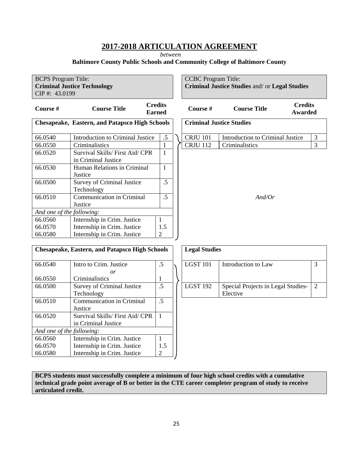*between* 

## **Baltimore County Public Schools and Community College of Baltimore County**

| <b>BCPS</b> Program Title:<br>CIP#: 43.0199                        | <b>Criminal Justice Technology</b>                     |                 | <b>CCBC</b> Program Title: | Criminal Justice Studies and/or Legal Studies           |                |
|--------------------------------------------------------------------|--------------------------------------------------------|-----------------|----------------------------|---------------------------------------------------------|----------------|
| <b>Credits</b><br>Course #<br><b>Course Title</b><br><b>Earned</b> |                                                        |                 | Course #                   | <b>Credits</b><br><b>Course Title</b><br><b>Awarded</b> |                |
|                                                                    | <b>Chesapeake, Eastern, and Patapsco High Schools</b>  |                 |                            | <b>Criminal Justice Studies</b>                         |                |
| 66.0540                                                            | Introduction to Criminal Justice                       | .5              | <b>CRJU 101</b>            | Introduction to Criminal Justice                        | 3              |
| 66.0550                                                            | Criminalistics                                         | $\mathbf{1}$    | <b>CRJU 112</b>            | Criminalistics                                          | 3              |
| 66.0520                                                            | Survival Skills/ First Aid/ CPR<br>in Criminal Justice | $\mathbf{1}$    |                            |                                                         |                |
| 66.0530                                                            | Human Relations in Criminal<br>Justice                 | $\mathbf{1}$    |                            |                                                         |                |
| 66.0500                                                            | Survey of Criminal Justice<br>Technology               | $\overline{.5}$ |                            |                                                         |                |
| 66.0510                                                            | Communication in Criminal                              | $\overline{.5}$ |                            | And/Or                                                  |                |
|                                                                    | Justice                                                |                 |                            |                                                         |                |
| And one of the following:                                          |                                                        |                 |                            |                                                         |                |
| 66.0560                                                            | Internship in Crim. Justice                            | $\mathbf{1}$    |                            |                                                         |                |
| 66.0570                                                            | Internship in Crim. Justice                            | 1.5             |                            |                                                         |                |
| 66.0580                                                            | Internship in Crim. Justice                            | $\overline{2}$  |                            |                                                         |                |
|                                                                    | <b>Chesapeake, Eastern, and Patapsco High Schools</b>  |                 | <b>Legal Studies</b>       |                                                         |                |
| 66.0540                                                            | Intro to Crim. Justice                                 | .5              | <b>LGST 101</b>            | Introduction to Law                                     | $\overline{3}$ |
| 66.0550                                                            | or<br>Criminalistics                                   | 1               |                            |                                                         |                |
| 66.0500                                                            | <b>Survey of Criminal Justice</b>                      | .5              | <b>LGST 192</b>            | Special Projects in Legal Studies-                      | 2              |
|                                                                    | Technology                                             |                 |                            | Elective                                                |                |
| 66.0510                                                            | Communication in Criminal                              | $\overline{.5}$ |                            |                                                         |                |
|                                                                    | Justice                                                |                 |                            |                                                         |                |
| 66.0520                                                            | Survival Skills/ First Aid/ CPR<br>in Criminal Justice | $\mathbf{1}$    |                            |                                                         |                |
| And one of the following:                                          |                                                        |                 |                            |                                                         |                |
| 66.0560                                                            | Internship in Crim. Justice                            | $\mathbf{1}$    |                            |                                                         |                |
| 66.0570                                                            | Internship in Crim. Justice                            | 1.5             |                            |                                                         |                |

**BCPS students must successfully complete a minimum of four high school credits with a cumulative technical grade point average of B or better in the CTE career completer program of study to receive articulated credit.** 

2

66.0580

Internship in Crim. Justice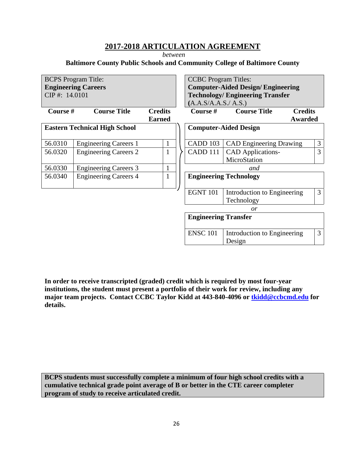*between* 

#### **Baltimore County Public Schools and Community College of Baltimore County**



**In order to receive transcripted (graded) credit which is required by most four-year institutions, the student must present a portfolio of their work for review, including any**  major team projects. Contact CCBC Taylor Kidd at 443-840-4096 or **tkidd@ccbcmd.edu** for **details.**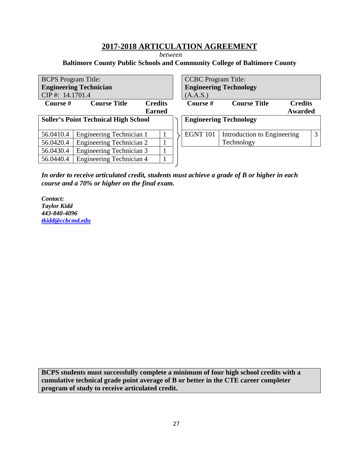*between* 

#### **Baltimore County Public Schools and Community College of Baltimore County**

| <b>BCPS</b> Program Title:                                     |                                 |                | <b>CCBC</b> Program Title: |                 |                               |                |   |
|----------------------------------------------------------------|---------------------------------|----------------|----------------------------|-----------------|-------------------------------|----------------|---|
| <b>Engineering Technician</b><br><b>Engineering Technology</b> |                                 |                |                            |                 |                               |                |   |
| CIP#: 14.1701.4                                                |                                 |                |                            | (A.A.S.)        |                               |                |   |
| <b>Course</b> #                                                | <b>Course Title</b>             | <b>Credits</b> |                            | Course #        | <b>Course Title</b>           | <b>Credits</b> |   |
|                                                                |                                 | <b>Earned</b>  |                            |                 |                               | Awarded        |   |
| <b>Soller's Point Technical High School</b>                    |                                 |                |                            |                 | <b>Engineering Technology</b> |                |   |
| 56.0410.4                                                      | Engineering Technician 1        |                |                            | <b>EGNT 101</b> | Introduction to Engineering   |                | 3 |
| 56.0420.4                                                      | <b>Engineering Technician 2</b> |                |                            |                 | Technology                    |                |   |
| 56.0430.4                                                      | <b>Engineering Technician 3</b> |                |                            |                 |                               |                |   |
| 56.0440.4                                                      | <b>Engineering Technician 4</b> |                |                            |                 |                               |                |   |

*In order to receive articulated credit, students must achieve a grade of B or higher in each course and a 70% or higher on the final exam.* 

*Contact: Taylor Kidd 443-840-4096 tkidd@ccbcmd.edu*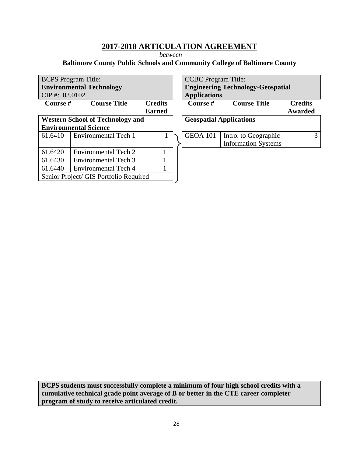*between* 

## **Baltimore County Public Schools and Community College of Baltimore County**

|                  | <b>BCPS</b> Program Title:              |                | <b>CCBC</b> Program Title: |                                      |
|------------------|-----------------------------------------|----------------|----------------------------|--------------------------------------|
|                  | <b>Environmental Technology</b>         |                |                            | <b>Engineering Technology-Geospa</b> |
| $CIP$ #: 03.0102 |                                         |                | <b>Applications</b>        |                                      |
| <b>Course</b> #  | <b>Course Title</b>                     | <b>Credits</b> | <b>Course</b> #            | <b>Course Title</b>                  |
|                  |                                         | <b>Earned</b>  |                            |                                      |
|                  | <b>Western School of Technology and</b> |                |                            | <b>Geospatial Applications</b>       |
|                  | <b>Environmental Science</b>            |                |                            |                                      |
| 61.6410          | Environmental Tech 1                    | 1              | GEOA 101                   | Intro. to Geographic                 |
|                  |                                         |                |                            | <b>Information Systems</b>           |
| 61.6420          | Environmental Tech 2                    |                |                            |                                      |
| 61.6430          | Environmental Tech 3                    |                |                            |                                      |
| 61.6440          | Environmental Tech 4                    |                |                            |                                      |
|                  | Senior Project/ GIS Portfolio Required  |                |                            |                                      |
|                  |                                         |                |                            |                                      |

| <b>CCBC</b> Program Title:                  |                                          |  |  |  |  |  |  |  |
|---------------------------------------------|------------------------------------------|--|--|--|--|--|--|--|
|                                             | <b>Engineering Technology-Geospatial</b> |  |  |  |  |  |  |  |
| <b>Applications</b>                         |                                          |  |  |  |  |  |  |  |
| Course #                                    | <b>Course Title</b><br><b>Credits</b>    |  |  |  |  |  |  |  |
|                                             | <b>Awarded</b>                           |  |  |  |  |  |  |  |
| <b>Geospatial Applications</b>              |                                          |  |  |  |  |  |  |  |
|                                             |                                          |  |  |  |  |  |  |  |
| <b>GEOA 101</b>                             |                                          |  |  |  |  |  |  |  |
| Intro. to Geographic<br>Information Systems |                                          |  |  |  |  |  |  |  |
|                                             |                                          |  |  |  |  |  |  |  |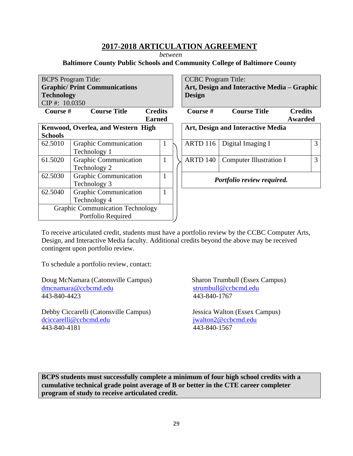*between* 

## **Baltimore County Public Schools and Community College of Baltimore County**

| <b>BCPS</b> Program Title:<br><b>Graphic/Print Communications</b><br><b>Technology</b><br>CIP#: 10.0350 |                                                               |                                 | <b>CCBC</b> Program Title:<br>Art, Design and Interactive Media – Graphic<br><b>Design</b> |                                   |                           |   |
|---------------------------------------------------------------------------------------------------------|---------------------------------------------------------------|---------------------------------|--------------------------------------------------------------------------------------------|-----------------------------------|---------------------------|---|
| Course #                                                                                                | <b>Course Title</b>                                           | <b>Credits</b><br><b>Earned</b> | Course #                                                                                   | <b>Course Title</b>               | <b>Credits</b><br>Awarded |   |
| <b>Schools</b>                                                                                          | Kenwood, Overlea, and Western High                            |                                 |                                                                                            | Art, Design and Interactive Media |                           |   |
| 62.5010                                                                                                 | <b>Graphic Communication</b><br>Technology 1                  | 1                               | <b>ARTD 116</b>                                                                            | Digital Imaging I                 |                           | 3 |
| 61.5020                                                                                                 | <b>Graphic Communication</b><br>Technology 2                  | 1                               | <b>ARTD 140</b>                                                                            | <b>Computer Illustration I</b>    |                           | 3 |
| 62.5030                                                                                                 | <b>Graphic Communication</b><br>Technology 3                  |                                 | Portfolio review required.                                                                 |                                   |                           |   |
| 62.5040                                                                                                 | <b>Graphic Communication</b><br>Technology 4                  | 1                               |                                                                                            |                                   |                           |   |
|                                                                                                         | <b>Graphic Communication Technology</b><br>Portfolio Required |                                 |                                                                                            |                                   |                           |   |

To receive articulated credit, students must have a portfolio review by the CCBC Computer Arts, Design, and Interactive Media faculty. Additional credits beyond the above may be received contingent upon portfolio review.

To schedule a portfolio review, contact:

Doug McNamara (Catonsville Campus) Sharon Trumbull (Essex Campus) dmcnamara@ccbcmd.edu strumbull@ccbcmd.edu 443-840-4423 443-840-1767

Debby Ciccarelli (Catonsville Campus) Jessica Walton (Essex Campus) dciccarelli@ccbcmd.edu jwalton2@ccbcmd.edu 443-840-4181 443-840-1567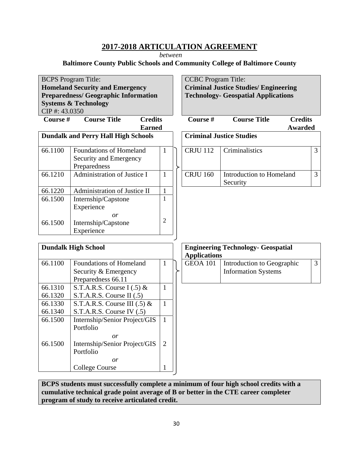*between* 

**Baltimore County Public Schools and Community College of Baltimore County**

| <b>BCPS</b> Program Title:<br><b>Homeland Security and Emergency</b><br><b>Preparedness/ Geographic Information</b><br><b>Systems &amp; Technology</b><br>CIP#: 43.0350 |                                                                       |                | <b>CCBC</b> Program Title:      | <b>Criminal Justice Studies/ Engineering</b><br><b>Technology- Geospatial Applications</b> |                                  |                |
|-------------------------------------------------------------------------------------------------------------------------------------------------------------------------|-----------------------------------------------------------------------|----------------|---------------------------------|--------------------------------------------------------------------------------------------|----------------------------------|----------------|
| Course #                                                                                                                                                                | <b>Course Title</b><br><b>Credits</b><br><b>Earned</b>                |                | Course #                        | <b>Course Title</b>                                                                        | <b>Credits</b><br><b>Awarded</b> |                |
| <b>Dundalk and Perry Hall High Schools</b>                                                                                                                              |                                                                       |                | <b>Criminal Justice Studies</b> |                                                                                            |                                  |                |
| 66.1100                                                                                                                                                                 | Foundations of Homeland<br>Security and Emergency<br>Preparedness     | 1              | <b>CRJU 112</b>                 | Criminalistics                                                                             |                                  | 3              |
| 66.1210                                                                                                                                                                 | Administration of Justice I                                           | $\mathbf{1}$   | <b>CRJU 160</b>                 | Introduction to Homeland<br>Security                                                       |                                  | 3              |
| 66.1220                                                                                                                                                                 | Administration of Justice II                                          | $\mathbf{1}$   |                                 |                                                                                            |                                  |                |
| 66.1500                                                                                                                                                                 | Internship/Capstone<br>Experience                                     | $\mathbf{1}$   |                                 |                                                                                            |                                  |                |
| 66.1500                                                                                                                                                                 | or<br>Internship/Capstone<br>Experience                               | $\overline{2}$ |                                 |                                                                                            |                                  |                |
|                                                                                                                                                                         | <b>Dundalk High School</b>                                            |                | <b>Applications</b>             | <b>Engineering Technology- Geospatial</b>                                                  |                                  |                |
| 66.1100                                                                                                                                                                 | Foundations of Homeland<br>Security & Emergency<br>Preparedness 66.11 | $\mathbf{1}$   | <b>GEOA 101</b>                 | Introduction to Geographic<br><b>Information Systems</b>                                   |                                  | $\overline{3}$ |
| 66.1310<br>66.1320                                                                                                                                                      | S.T.A.R.S. Course I $(.5)$ &<br>S.T.A.R.S. Course II (.5)             | $\mathbf{1}$   |                                 |                                                                                            |                                  |                |
| 66.1330<br>66.1340                                                                                                                                                      | S.T.A.R.S. Course III $(.5)$ &<br>S.T.A.R.S. Course IV (.5)           | $\mathbf{1}$   |                                 |                                                                                            |                                  |                |
| 66.1500                                                                                                                                                                 | Internship/Senior Project/GIS<br>Portfolio                            | $\mathbf{1}$   |                                 |                                                                                            |                                  |                |
| 66.1500                                                                                                                                                                 | or<br>Internship/Senior Project/GIS<br>Portfolio                      | $\overline{2}$ |                                 |                                                                                            |                                  |                |
|                                                                                                                                                                         | or<br><b>College Course</b>                                           | 1              |                                 |                                                                                            |                                  |                |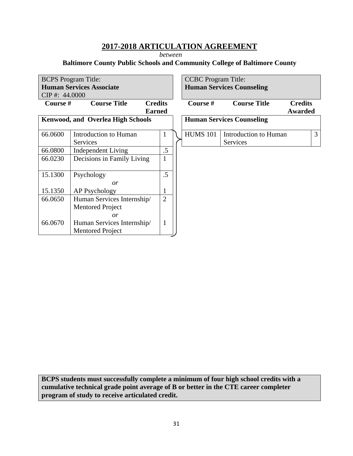*between* 

## **Baltimore County Public Schools and Community College of Baltimore County**

|                  | <b>BCPS</b> Program Title:               |                |  | <b>CCBC</b> Program Title:       |                                  |                |   |
|------------------|------------------------------------------|----------------|--|----------------------------------|----------------------------------|----------------|---|
|                  | <b>Human Services Associate</b>          |                |  | <b>Human Services Counseling</b> |                                  |                |   |
| $CIP$ #: 44.0000 |                                          |                |  |                                  |                                  |                |   |
| Course #         | <b>Course Title</b>                      | <b>Credits</b> |  | Course #                         | <b>Course Title</b>              | <b>Credits</b> |   |
|                  |                                          | <b>Earned</b>  |  |                                  |                                  | Awarded        |   |
|                  | <b>Kenwood, and Overlea High Schools</b> |                |  |                                  | <b>Human Services Counseling</b> |                |   |
|                  |                                          |                |  |                                  |                                  |                |   |
| 66.0600          | Introduction to Human                    | 1              |  | <b>HUMS 101</b>                  | Introduction to Human            |                | 3 |
|                  | Services                                 |                |  |                                  | Services                         |                |   |
| 66.0800          | Independent Living                       | $.5\,$         |  |                                  |                                  |                |   |
| 66.0230          | Decisions in Family Living               | 1              |  |                                  |                                  |                |   |
|                  |                                          |                |  |                                  |                                  |                |   |
| 15.1300          | Psychology                               | .5             |  |                                  |                                  |                |   |
|                  | or                                       |                |  |                                  |                                  |                |   |
| 15.1350          | AP Psychology                            |                |  |                                  |                                  |                |   |
| 66.0650          | Human Services Internship/               | $\overline{2}$ |  |                                  |                                  |                |   |
|                  | <b>Mentored Project</b>                  |                |  |                                  |                                  |                |   |
|                  | $\overline{or}$                          |                |  |                                  |                                  |                |   |
| 66.0670          | Human Services Internship/               | $\mathbf{1}$   |  |                                  |                                  |                |   |
|                  | <b>Mentored Project</b>                  |                |  |                                  |                                  |                |   |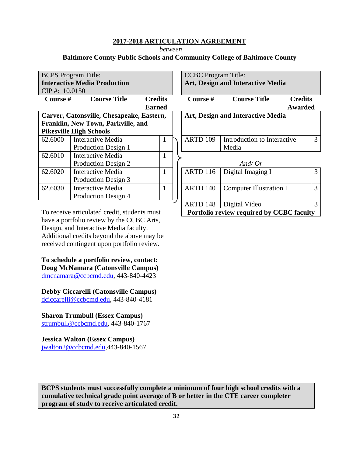*between* 

#### **Baltimore County Public Schools and Community College of Baltimore County**

|                                           | <b>BCPS</b> Program Title:          |                |              | <b>CCBC</b> Program Title:        |                                   |                |  |
|-------------------------------------------|-------------------------------------|----------------|--------------|-----------------------------------|-----------------------------------|----------------|--|
|                                           | <b>Interactive Media Production</b> |                |              | Art, Design and Interactive Media |                                   |                |  |
|                                           | $CIP$ #: 10.0150                    |                |              |                                   |                                   |                |  |
| Course #                                  | <b>Course Title</b>                 | <b>Credits</b> |              | Course #                          | <b>Course Title</b>               | <b>Credits</b> |  |
|                                           |                                     | <b>Earned</b>  |              |                                   |                                   | Awarded        |  |
| Carver, Catonsville, Chesapeake, Eastern, |                                     |                |              |                                   | Art, Design and Interactive Media |                |  |
| Franklin, New Town, Parkville, and        |                                     |                |              |                                   |                                   |                |  |
|                                           | <b>Pikesville High Schools</b>      |                |              |                                   |                                   |                |  |
| 62.6000                                   | <b>Interactive Media</b>            |                | 1            | <b>ARTD 109</b>                   | Introduction to Interactive       | 3              |  |
|                                           | Production Design 1                 |                |              |                                   | Media                             |                |  |
| 62.6010                                   | Interactive Media                   |                | $\mathbf{1}$ |                                   |                                   |                |  |
|                                           | Production Design 2                 |                |              |                                   | And/ $Or$                         |                |  |
| 62.6020                                   | <b>Interactive Media</b>            |                | 1            | <b>ARTD 116</b>                   | Digital Imaging I                 | 3              |  |
|                                           | Production Design 3                 |                |              |                                   |                                   |                |  |
| 62.6030                                   | <b>Interactive Media</b>            |                | 1            | <b>ARTD 140</b>                   | <b>Computer Illustration I</b>    | 3              |  |
|                                           | Production Design 4                 |                |              |                                   |                                   |                |  |
|                                           |                                     |                |              | 148<br>ARTD                       | Digital Video                     | 3              |  |

3

 **Portfolio review required by CCBC faculty**

To receive articulated credit, students must have a portfolio review by the CCBC Arts, Design, and Interactive Media faculty. Additional credits beyond the above may be received contingent upon portfolio review.

**To schedule a portfolio review, contact: Doug McNamara (Catonsville Campus)**  dmcnamara@ccbcmd.edu, 443-840-4423

**Debby Ciccarelli (Catonsville Campus)**  dciccarelli@ccbcmd.edu, 443-840-4181

**Sharon Trumbull (Essex Campus)**  strumbull@ccbcmd.edu, 443-840-1767

**Jessica Walton (Essex Campus)**  jwalton2@ccbcmd.edu,443-840-1567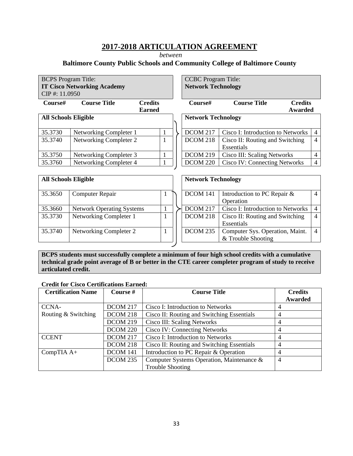*between* 

## **Baltimore County Public Schools and Community College of Baltimore County**

| <b>BCPS</b> Program Title:  |                                    |                           | <b>CCBC</b> Program Title: |                                      |                |                |
|-----------------------------|------------------------------------|---------------------------|----------------------------|--------------------------------------|----------------|----------------|
|                             | <b>IT Cisco Networking Academy</b> |                           | <b>Network Technology</b>  |                                      |                |                |
| CIP#: 11.0950               |                                    |                           |                            |                                      |                |                |
| Course#                     | <b>Course Title</b>                | <b>Credits</b>            | Course#                    | <b>Course Title</b>                  | <b>Credits</b> |                |
|                             |                                    | <b>Earned</b>             |                            |                                      | Awarded        |                |
| <b>All Schools Eligible</b> |                                    |                           | <b>Network Technology</b>  |                                      |                |                |
|                             |                                    |                           |                            |                                      |                |                |
| 35.3730                     | Networking Completer 1             |                           | <b>DCOM 217</b>            | Cisco I: Introduction to Networks    |                | $\overline{4}$ |
| 35.3740                     | Networking Completer 2             |                           | DCOM 218                   | Cisco II: Routing and Switching      |                | $\overline{4}$ |
|                             |                                    |                           |                            | Essentials                           |                |                |
| 35.3750                     | Networking Completer 3             |                           | <b>DCOM 219</b>            | Cisco III: Scaling Networks          |                | 4              |
| 35.3760                     | Networking Completer 4             |                           | <b>DCOM 220</b>            | <b>Cisco IV: Connecting Networks</b> |                | $\overline{4}$ |
|                             |                                    |                           |                            |                                      |                |                |
| <b>All Schools Eligible</b> |                                    | <b>Network Technology</b> |                            |                                      |                |                |
|                             |                                    |                           |                            |                                      |                |                |
|                             |                                    |                           | .                          |                                      |                |                |

| 35.3650 | <b>Computer Repair</b>           |  | <b>DCOM 141</b> | Introduction to PC Repair $\&$    |
|---------|----------------------------------|--|-----------------|-----------------------------------|
|         |                                  |  |                 | Operation                         |
| 35.3660 | <b>Network Operating Systems</b> |  | <b>DCOM 217</b> | Cisco I: Introduction to Networks |
| 35.3730 | Networking Completer 1           |  | <b>DCOM 218</b> | Cisco II: Routing and Switching   |
|         |                                  |  |                 | Essentials                        |
| 35.3740 | Networking Completer 2           |  | DCOM 235        | Computer Sys. Operation, Maint.   |
|         |                                  |  |                 | & Trouble Shooting                |

| Ali Schools Eligidie |                                  |  | <b>NEUWOFK LECHNOIO2V</b> |                                   |                |
|----------------------|----------------------------------|--|---------------------------|-----------------------------------|----------------|
| 35.3650              | Computer Repair                  |  | DCOM 141                  | Introduction to PC Repair $\&$    | $\overline{4}$ |
|                      |                                  |  |                           | Operation                         |                |
| 35.3660              | <b>Network Operating Systems</b> |  | <b>DCOM 217</b>           | Cisco I: Introduction to Networks |                |
| 35.3730              | Networking Completer 1           |  | <b>DCOM 218</b>           | Cisco II: Routing and Switching   | $\overline{4}$ |
|                      |                                  |  |                           | Essentials                        |                |
| 35.3740              | Networking Completer 2           |  | DCOM 235                  | Computer Sys. Operation, Maint.   | $\overline{4}$ |
|                      |                                  |  |                           | & Trouble Shooting                |                |

**BCPS students must successfully complete a minimum of four high school credits with a cumulative technical grade point average of B or better in the CTE career completer program of study to receive articulated credit.** 

#### **Credit for Cisco Certifications Earned:**

| <b>Certification Name</b> | Course #        | <b>Course Title</b>                        | <b>Credits</b> |
|---------------------------|-----------------|--------------------------------------------|----------------|
|                           |                 |                                            | Awarded        |
| CCNA-                     | <b>DCOM 217</b> | Cisco I: Introduction to Networks          |                |
| Routing & Switching       | <b>DCOM 218</b> | Cisco II: Routing and Switching Essentials | 4              |
|                           | <b>DCOM 219</b> | Cisco III: Scaling Networks                | 4              |
|                           | <b>DCOM 220</b> | <b>Cisco IV: Connecting Networks</b>       |                |
| <b>CCENT</b>              | <b>DCOM 217</b> | Cisco I: Introduction to Networks          | 4              |
|                           | <b>DCOM 218</b> | Cisco II: Routing and Switching Essentials |                |
| Comp $TIA$ $A+$           | DCOM 141        | Introduction to PC Repair & Operation      |                |
|                           | <b>DCOM 235</b> | Computer Systems Operation, Maintenance &  | $\overline{4}$ |
|                           |                 | <b>Trouble Shooting</b>                    |                |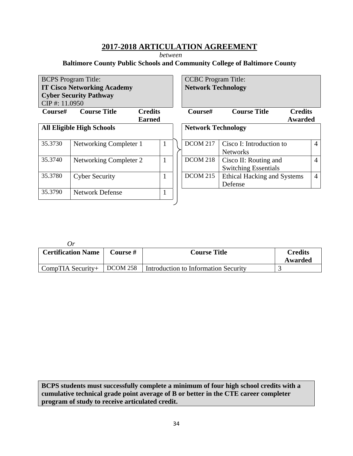*between* 

## **Baltimore County Public Schools and Community College of Baltimore County**

| <b>BCPS</b> Program Title:<br><b>IT Cisco Networking Academy</b><br><b>Cyber Security Pathway</b><br>CIP#: 11.0950 |                                  |                                 | <b>CCBC</b> Program Title:<br><b>Network Technology</b> |                                                      |                           |                |
|--------------------------------------------------------------------------------------------------------------------|----------------------------------|---------------------------------|---------------------------------------------------------|------------------------------------------------------|---------------------------|----------------|
| Course#                                                                                                            | <b>Course Title</b>              | <b>Credits</b><br><b>Earned</b> | Course#                                                 | <b>Course Title</b>                                  | <b>Credits</b><br>Awarded |                |
|                                                                                                                    | <b>All Eligible High Schools</b> |                                 | <b>Network Technology</b>                               |                                                      |                           |                |
| 35.3730                                                                                                            | Networking Completer 1           |                                 | <b>DCOM 217</b>                                         | Cisco I: Introduction to<br><b>Networks</b>          |                           | $\overline{4}$ |
| 35.3740                                                                                                            | Networking Completer 2           |                                 | <b>DCOM 218</b>                                         | Cisco II: Routing and<br><b>Switching Essentials</b> |                           | $\overline{4}$ |
| 35.3780                                                                                                            | <b>Cyber Security</b>            |                                 | <b>DCOM 215</b>                                         | Ethical Hacking and Systems<br>Defense               |                           | $\overline{4}$ |
| 35.3790                                                                                                            | <b>Network Defense</b>           |                                 |                                                         |                                                      |                           |                |

| $\iota$ r                 |          |                                      |                |
|---------------------------|----------|--------------------------------------|----------------|
| <b>Certification Name</b> | Course # | <b>Course Title</b>                  | <b>Credits</b> |
|                           |          |                                      | Awarded        |
| CompTIA Security+         | DCOM 258 | Introduction to Information Security |                |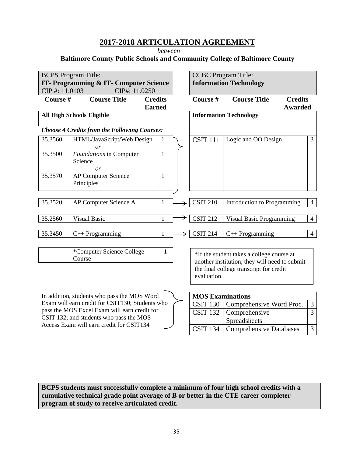*between* 

**Baltimore County Public Schools and Community College of Baltimore County**

|                                                                                                                                                                                                  | <b>BCPS</b> Program Title:<br>IT- Programming & IT- Computer Science                    |                                 |  |                         | <b>CCBC</b> Program Title:<br><b>Information Technology</b> |                |
|--------------------------------------------------------------------------------------------------------------------------------------------------------------------------------------------------|-----------------------------------------------------------------------------------------|---------------------------------|--|-------------------------|-------------------------------------------------------------|----------------|
| CIP#: 11.0103<br>Course#                                                                                                                                                                         | CIP#: 11.0250<br><b>Course Title</b>                                                    | <b>Credits</b><br><b>Earned</b> |  | Course #                | <b>Course Title</b><br><b>Credits</b><br><b>Awarded</b>     |                |
|                                                                                                                                                                                                  | <b>All High Schools Eligible</b>                                                        |                                 |  |                         | <b>Information Technology</b>                               |                |
|                                                                                                                                                                                                  | <b>Choose 4 Credits from the Following Courses:</b>                                     |                                 |  |                         |                                                             |                |
| 35.3560                                                                                                                                                                                          | HTML/JavaScript/Web Design<br>or                                                        | $\mathbf{1}$                    |  | <b>CSIT 111</b>         | Logic and OO Design                                         | 3              |
| 35.3500                                                                                                                                                                                          | Foundations in Computer<br>Science                                                      | $\mathbf{1}$                    |  |                         |                                                             |                |
| 35.3570                                                                                                                                                                                          | or<br><b>AP Computer Science</b><br>Principles                                          | 1                               |  |                         |                                                             |                |
| 35.3520                                                                                                                                                                                          | AP Computer Science A                                                                   | $\mathbf{1}$                    |  | <b>CSIT 210</b>         | Introduction to Programming                                 | $\overline{4}$ |
| 35.2560                                                                                                                                                                                          | <b>Visual Basic</b>                                                                     |                                 |  | <b>CSIT 212</b>         | <b>Visual Basic Programming</b>                             | $\overline{4}$ |
| 35.3450                                                                                                                                                                                          | $C++$ Programming                                                                       | 1                               |  | <b>CSIT 214</b>         | $C++$ Programming                                           | $\overline{4}$ |
| *Computer Science College<br>1<br>*If the student takes a college course at<br>Course<br>another institution, they will need to submit<br>the final college transcript for credit<br>evaluation. |                                                                                         |                                 |  |                         |                                                             |                |
|                                                                                                                                                                                                  | In addition, students who pass the MOS Word                                             |                                 |  | <b>MOS Examinations</b> |                                                             |                |
|                                                                                                                                                                                                  | Exam will earn credit for CSIT130; Students who                                         |                                 |  | <b>CSIT 130</b>         | Comprehensive Word Proc.                                    | $\mathfrak{Z}$ |
|                                                                                                                                                                                                  | pass the MOS Excel Exam will earn credit for<br>CSIT 132; and students who pass the MOS |                                 |  | <b>CSIT 132</b>         | Comprehensive<br>Spreadsheets                               | $\overline{3}$ |
|                                                                                                                                                                                                  | Access Exam will earn credit for CSIT134                                                |                                 |  | <b>CSIT 134</b>         | <b>Comprehensive Databases</b>                              | $\overline{3}$ |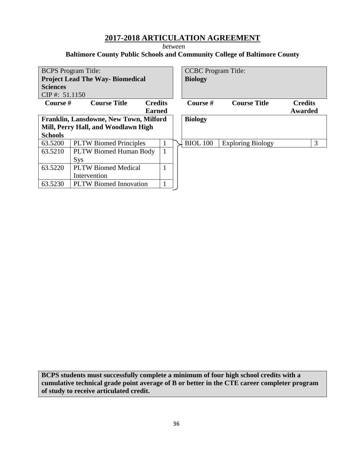*between* 

## **Baltimore County Public Schools and Community College of Baltimore County**

| <b>BCPS</b> Program Title:<br><b>Project Lead The Way-Biomedical</b> |                               |                | <b>CCBC</b> Program Title:<br><b>Biology</b> |                          |                |
|----------------------------------------------------------------------|-------------------------------|----------------|----------------------------------------------|--------------------------|----------------|
| <b>Sciences</b>                                                      |                               |                |                                              |                          |                |
| CIP#: $51.1150$                                                      |                               |                |                                              |                          |                |
| Course #                                                             | <b>Course Title</b>           | <b>Credits</b> | Course #                                     | <b>Course Title</b>      | <b>Credits</b> |
|                                                                      |                               | <b>Earned</b>  |                                              |                          | Awarded        |
| Franklin, Lansdowne, New Town, Milford                               |                               |                | <b>Biology</b>                               |                          |                |
| Mill, Perry Hall, and Woodlawn High                                  |                               |                |                                              |                          |                |
| <b>Schools</b>                                                       |                               |                |                                              |                          |                |
| 63.5200                                                              | <b>PLTW Biomed Principles</b> | 1              | <b>BIOL 100</b>                              | <b>Exploring Biology</b> | 3              |
| 63.5210                                                              | <b>PLTW Biomed Human Body</b> | $\mathbf{1}$   |                                              |                          |                |
|                                                                      | <b>Sys</b>                    |                |                                              |                          |                |
| 63.5220                                                              | <b>PLTW Biomed Medical</b>    | 1              |                                              |                          |                |
|                                                                      | Intervention                  |                |                                              |                          |                |
| 63.5230                                                              | <b>PLTW Biomed Innovation</b> |                |                                              |                          |                |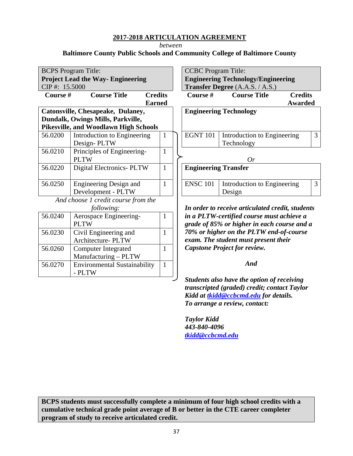*between* 

**Baltimore County Public Schools and Community College of Baltimore County**

| <b>BCPS</b> Program Title:                   |                                     |                |  | <b>CCBC</b> Program Title:                |                                                  |                |  |
|----------------------------------------------|-------------------------------------|----------------|--|-------------------------------------------|--------------------------------------------------|----------------|--|
| <b>Project Lead the Way- Engineering</b>     |                                     |                |  | <b>Engineering Technology/Engineering</b> |                                                  |                |  |
| CIP#: 15.5000                                |                                     |                |  | <b>Transfer Degree</b> (A.A.S. / A.S.)    |                                                  |                |  |
| <b>Course Title</b><br>Course #              |                                     | <b>Credits</b> |  | Course #                                  | <b>Course Title</b>                              | <b>Credits</b> |  |
| <b>Earned</b>                                |                                     |                |  |                                           | <b>Awarded</b>                                   |                |  |
| Catonsville, Chesapeake, Dulaney,            |                                     |                |  |                                           | <b>Engineering Technology</b>                    |                |  |
| Dundalk, Owings Mills, Parkville,            |                                     |                |  |                                           |                                                  |                |  |
| <b>Pikesville, and Woodlawn High Schools</b> |                                     |                |  |                                           |                                                  |                |  |
| 56.0200                                      | Introduction to Engineering         | 1              |  | <b>EGNT 101</b>                           | Introduction to Engineering                      | 3              |  |
|                                              | Design-PLTW                         |                |  |                                           | Technology                                       |                |  |
| 56.0210                                      | Principles of Engineering-          | $\mathbf{1}$   |  |                                           |                                                  |                |  |
|                                              | <b>PLTW</b>                         |                |  |                                           | Or                                               |                |  |
| 56.0220                                      | <b>Digital Electronics- PLTW</b>    | $\mathbf{1}$   |  | <b>Engineering Transfer</b>               |                                                  |                |  |
|                                              |                                     |                |  |                                           |                                                  |                |  |
| 56.0250                                      | Engineering Design and              | 1              |  | <b>ENSC 101</b>                           | Introduction to Engineering                      | 3              |  |
|                                              | Development - PLTW                  |                |  |                                           | Design                                           |                |  |
| And choose 1 credit course from the          |                                     |                |  |                                           |                                                  |                |  |
| following:                                   |                                     |                |  |                                           | In order to receive articulated credit, students |                |  |
| 56.0240                                      | Aerospace Engineering-              | 1              |  | in a PLTW-certified course must achieve a |                                                  |                |  |
|                                              | <b>PLTW</b>                         |                |  |                                           | grade of 85% or higher in each course and a      |                |  |
| 56.0230                                      | Civil Engineering and               | $\mathbf{1}$   |  | 70% or higher on the PLTW end-of-course   |                                                  |                |  |
|                                              | Architecture- PLTW                  |                |  |                                           | exam. The student must present their             |                |  |
| 56.0260                                      | <b>Computer Integrated</b>          | 1              |  | <b>Capstone Project for review.</b>       |                                                  |                |  |
|                                              | Manufacturing - PLTW                |                |  |                                           |                                                  |                |  |
| 56.0270                                      | <b>Environmental Sustainability</b> | $\mathbf{1}$   |  | And                                       |                                                  |                |  |
|                                              | - PLTW                              |                |  |                                           |                                                  |                |  |
|                                              |                                     |                |  |                                           | Students also have the option of receiving       |                |  |

*Students also have the option of receiving transcripted (graded) credit; contact Taylor Kidd at tkidd@ccbcmd.edu for details. To arrange a review, contact:* 

*Taylor Kidd 443-840-4096 tkidd@ccbcmd.edu*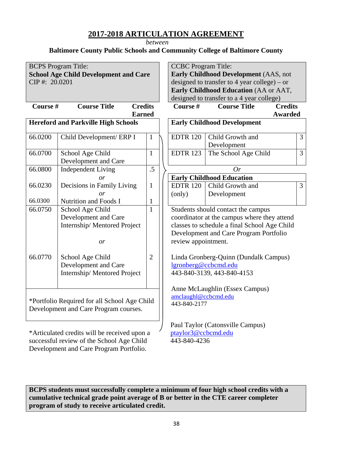*between* 

## **Baltimore County Public Schools and Community College of Baltimore County**

| <b>BCPS</b> Program Title:<br><b>School Age Child Development and Care</b><br>CIP#: 20.0201 |                                          |                |  | <b>CCBC</b> Program Title:<br><b>Early Childhood Development (AAS, not</b><br>designed to transfer to 4 year college) – or<br>Early Childhood Education (AA or AAT,<br>designed to transfer to a 4 year college) |                                       |                |  |
|---------------------------------------------------------------------------------------------|------------------------------------------|----------------|--|------------------------------------------------------------------------------------------------------------------------------------------------------------------------------------------------------------------|---------------------------------------|----------------|--|
| Course #<br>Course Title<br><b>Credits</b>                                                  |                                          |                |  | Course #                                                                                                                                                                                                         | <b>Credits</b><br><b>Course Title</b> |                |  |
|                                                                                             | <b>Earned</b>                            |                |  |                                                                                                                                                                                                                  | <b>Awarded</b>                        |                |  |
| <b>Hereford and Parkville High Schools</b>                                                  |                                          |                |  | <b>Early Childhood Development</b>                                                                                                                                                                               |                                       |                |  |
| 66.0200                                                                                     | Child Development/ ERP I                 | $\mathbf{1}$   |  | <b>EDTR 120</b>                                                                                                                                                                                                  | Child Growth and<br>Development       | $\overline{3}$ |  |
| 66.0700                                                                                     | School Age Child<br>Development and Care | $\mathbf{1}$   |  | <b>EDTR 123</b>                                                                                                                                                                                                  | The School Age Child                  | $\overline{3}$ |  |
| 66.0800                                                                                     | <b>Independent Living</b>                | .5             |  | Or                                                                                                                                                                                                               |                                       |                |  |
|                                                                                             | or                                       |                |  | <b>Early Childhood Education</b>                                                                                                                                                                                 |                                       |                |  |
| 66.0230                                                                                     | Decisions in Family Living               | $\mathbf{1}$   |  | <b>EDTR 120</b>                                                                                                                                                                                                  | Child Growth and                      | $\overline{3}$ |  |
|                                                                                             | $\overline{or}$                          |                |  | (only)                                                                                                                                                                                                           | Development                           |                |  |
| 66.0300                                                                                     | Nutrition and Foods I                    | $\mathbf{1}$   |  |                                                                                                                                                                                                                  |                                       |                |  |
| 66.0750                                                                                     | School Age Child                         | $\mathbf{1}$   |  | Students should contact the campus                                                                                                                                                                               |                                       |                |  |
|                                                                                             | Development and Care                     |                |  | coordinator at the campus where they attend                                                                                                                                                                      |                                       |                |  |
|                                                                                             | Internship/Mentored Project              |                |  | classes to schedule a final School Age Child<br>Development and Care Program Portfolio                                                                                                                           |                                       |                |  |
|                                                                                             | or                                       |                |  | review appointment.                                                                                                                                                                                              |                                       |                |  |
|                                                                                             |                                          |                |  |                                                                                                                                                                                                                  |                                       |                |  |
| 66.0770                                                                                     | School Age Child                         | $\overline{2}$ |  | Linda Gronberg-Quinn (Dundalk Campus)                                                                                                                                                                            |                                       |                |  |
|                                                                                             | Development and Care                     |                |  | lgronberg@ccbcmd.edu                                                                                                                                                                                             |                                       |                |  |
|                                                                                             | Internship/Mentored Project              |                |  |                                                                                                                                                                                                                  | 443-840-3139, 443-840-4153            |                |  |
|                                                                                             |                                          |                |  |                                                                                                                                                                                                                  |                                       |                |  |
|                                                                                             |                                          |                |  |                                                                                                                                                                                                                  | Anne McLaughlin (Essex Campus)        |                |  |
| *Portfolio Required for all School Age Child                                                |                                          |                |  | amclaughl@ccbcmd.edu                                                                                                                                                                                             |                                       |                |  |
| Development and Care Program courses.                                                       |                                          |                |  | 443-840-2177                                                                                                                                                                                                     |                                       |                |  |
|                                                                                             |                                          |                |  |                                                                                                                                                                                                                  |                                       |                |  |
|                                                                                             |                                          |                |  |                                                                                                                                                                                                                  | Paul Taylor (Catonsville Campus)      |                |  |
| *Articulated credits will be received upon a                                                |                                          |                |  | ptaylor3@ccbcmd.edu                                                                                                                                                                                              |                                       |                |  |
| successful review of the School Age Child                                                   |                                          |                |  | 443-840-4236                                                                                                                                                                                                     |                                       |                |  |

**BCPS students must successfully complete a minimum of four high school credits with a cumulative technical grade point average of B or better in the CTE career completer program of study to receive articulated credit.** 

Development and Care Program Portfolio.